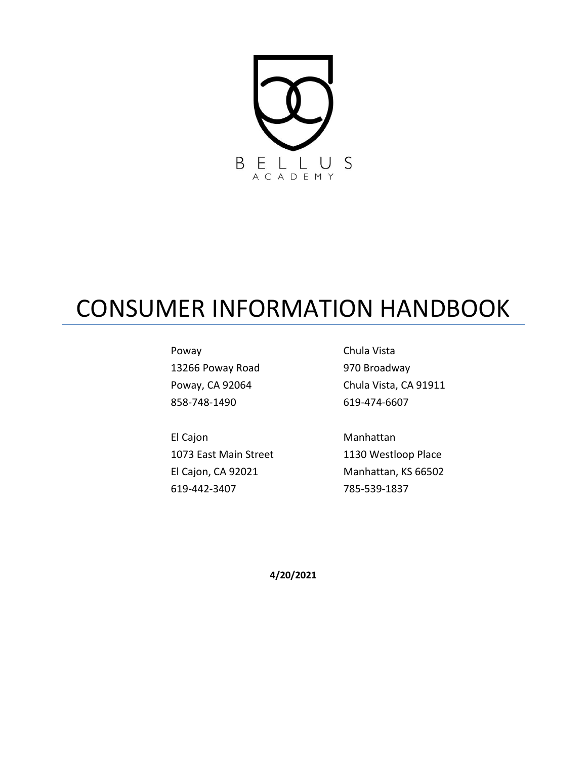

# CONSUMER INFORMATION HANDBOOK

Poway **Chula Vista**  13266 Poway Road 970 Broadway 858-748-1490 619-474-6607

El Cajon Manhattan 1073 East Main Street 1130 Westloop Place El Cajon, CA 92021 Manhattan, KS 66502 619-442-3407 785-539-1837

Poway, CA 92064 Chula Vista, CA 91911

**4/20/2021**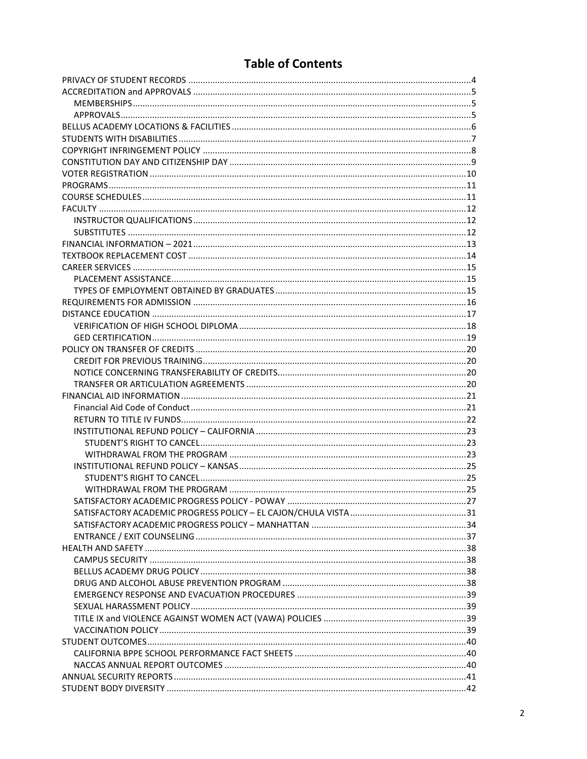# **Table of Contents**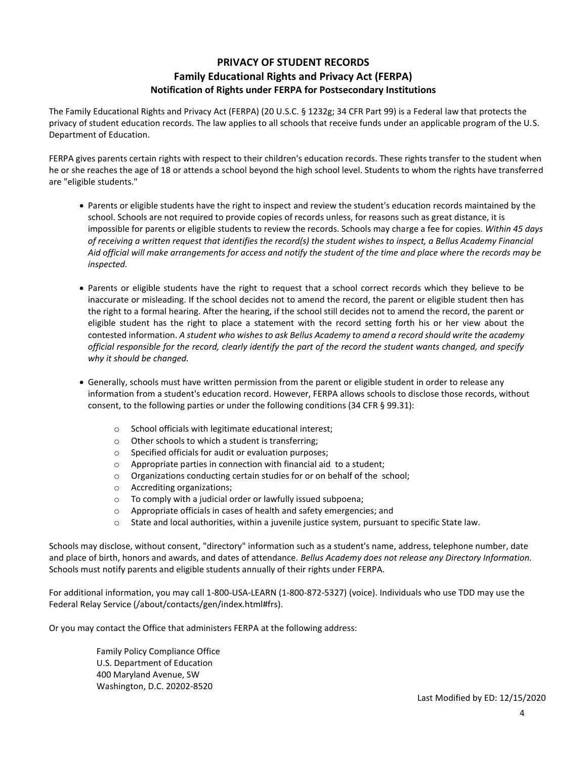# **PRIVACY OF STUDENT RECORDS Family Educational Rights and Privacy Act (FERPA) Notification of Rights under FERPA for Postsecondary Institutions**

<span id="page-3-0"></span>The Family Educational Rights and Privacy Act (FERPA) (20 U.S.C. § 1232g; 34 CFR Part 99) is a Federal law that protects the privacy of student education records. The law applies to all schools that receive funds under an applicable program of the U.S. Department of Education.

FERPA gives parents certain rights with respect to their children's education records. These rights transfer to the student when he or she reaches the age of 18 or attends a school beyond the high school level. Students to whom the rights have transferred are "eligible students."

- Parents or eligible students have the right to inspect and review the student's education records maintained by the school. Schools are not required to provide copies of records unless, for reasons such as great distance, it is impossible for parents or eligible students to review the records. Schools may charge a fee for copies. *Within 45 days of receiving a written request that identifies the record(s) the student wishes to inspect, a Bellus Academy Financial Aid official will make arrangements for access and notify the student of the time and place where the records may be inspected.*
- Parents or eligible students have the right to request that a school correct records which they believe to be inaccurate or misleading. If the school decides not to amend the record, the parent or eligible student then has the right to a formal hearing. After the hearing, if the school still decides not to amend the record, the parent or eligible student has the right to place a statement with the record setting forth his or her view about the contested information. *A student who wishes to ask Bellus Academy to amend a record should write the academy official responsible for the record, clearly identify the part of the record the student wants changed, and specify why it should be changed.*
- Generally, schools must have written permission from the parent or eligible student in order to release any information from a student's education record. However, FERPA allows schools to disclose those records, without consent, to the following parties or under the following conditions (34 CFR § 99.31):
	- o School officials with legitimate educational interest;
	- o Other schools to which a student is transferring;
	- o Specified officials for audit or evaluation purposes;
	- o Appropriate parties in connection with financial aid to a student;
	- o Organizations conducting certain studies for or on behalf of the school;
	- o Accrediting organizations;
	- o To comply with a judicial order or lawfully issued subpoena;
	- o Appropriate officials in cases of health and safety emergencies; and
	- o State and local authorities, within a juvenile justice system, pursuant to specific State law.

Schools may disclose, without consent, "directory" information such as a student's name, address, telephone number, date and place of birth, honors and awards, and dates of attendance. *Bellus Academy does not release any Directory Information.* Schools must notify parents and eligible students annually of their rights under FERPA.

For additional information, you may call 1-800-USA-LEARN (1-800-872-5327) (voice). Individuals who use TDD may use the Federal Relay Service (/about/contacts/gen/index.html#frs).

Or you may contact the Office that administers FERPA at the following address:

Family Policy Compliance Office U.S. Department of Education 400 Maryland Avenue, SW Washington, D.C. 20202-8520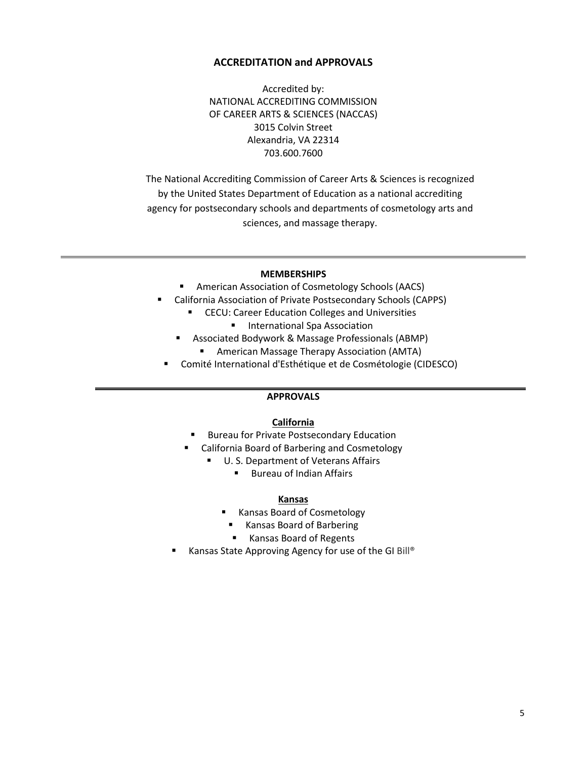# **ACCREDITATION and APPROVALS**

Accredited by: NATIONAL ACCREDITING COMMISSION OF CAREER ARTS & SCIENCES (NACCAS) 3015 Colvin Street Alexandria, VA 22314 703.600.7600

<span id="page-4-0"></span>The National Accrediting Commission of Career Arts & Sciences is recognized by the United States Department of Education as a national accrediting agency for postsecondary schools and departments of cosmetology arts and sciences, and massage therapy.

## **MEMBERSHIPS**

- American Association of Cosmetology Schools (AACS)
- <span id="page-4-1"></span> California Association of Private Postsecondary Schools (CAPPS)
	- **EXECU:** Career Education Colleges and Universities
		- **International Spa Association**
	- Associated Bodywork & Massage Professionals (ABMP)
		- **E** American Massage Therapy Association (AMTA)
	- Comité International d'Esthétique et de Cosmétologie (CIDESCO)

# **APPROVALS**

# **California**

- <span id="page-4-2"></span>Bureau for Private Postsecondary Education
- **EXEC** California Board of Barbering and Cosmetology
	- U.S. Department of Veterans Affairs
		- **Bureau of Indian Affairs**

# **Kansas**

- Kansas Board of Cosmetology
- Kansas Board of Barbering
- Kansas Board of Regents
- Kansas State Approving Agency for use of the GI Bill®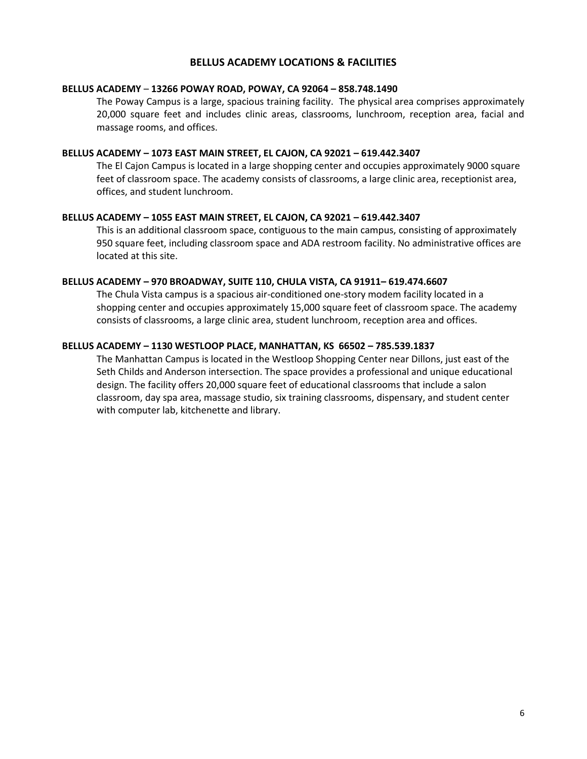# **BELLUS ACADEMY LOCATIONS & FACILITIES**

#### <span id="page-5-0"></span>**BELLUS ACADEMY** – **13266 POWAY ROAD, POWAY, CA 92064 – 858.748.1490**

The Poway Campus is a large, spacious training facility. The physical area comprises approximately 20,000 square feet and includes clinic areas, classrooms, lunchroom, reception area, facial and massage rooms, and offices.

#### **BELLUS ACADEMY – 1073 EAST MAIN STREET, EL CAJON, CA 92021 – 619.442.3407**

The El Cajon Campus is located in a large shopping center and occupies approximately 9000 square feet of classroom space. The academy consists of classrooms, a large clinic area, receptionist area, offices, and student lunchroom.

#### **BELLUS ACADEMY – 1055 EAST MAIN STREET, EL CAJON, CA 92021 – 619.442.3407**

This is an additional classroom space, contiguous to the main campus, consisting of approximately 950 square feet, including classroom space and ADA restroom facility. No administrative offices are located at this site.

## **BELLUS ACADEMY – 970 BROADWAY, SUITE 110, CHULA VISTA, CA 91911– 619.474.6607**

The Chula Vista campus is a spacious air-conditioned one-story modem facility located in a shopping center and occupies approximately 15,000 square feet of classroom space. The academy consists of classrooms, a large clinic area, student lunchroom, reception area and offices.

## **BELLUS ACADEMY – 1130 WESTLOOP PLACE, MANHATTAN, KS 66502 – 785.539.1837**

The Manhattan Campus is located in the Westloop Shopping Center near Dillons, just east of the Seth Childs and Anderson intersection. The space provides a professional and unique educational design. The facility offers 20,000 square feet of educational classrooms that include a salon classroom, day spa area, massage studio, six training classrooms, dispensary, and student center with computer lab, kitchenette and library.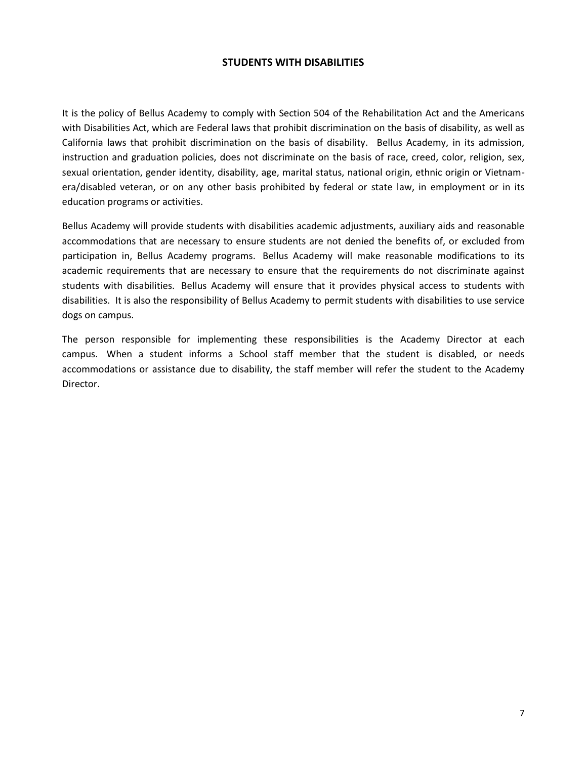# **STUDENTS WITH DISABILITIES**

<span id="page-6-0"></span>It is the policy of Bellus Academy to comply with Section 504 of the Rehabilitation Act and the Americans with Disabilities Act, which are Federal laws that prohibit discrimination on the basis of disability, as well as California laws that prohibit discrimination on the basis of disability. Bellus Academy, in its admission, instruction and graduation policies, does not discriminate on the basis of race, creed, color, religion, sex, sexual orientation, gender identity, disability, age, marital status, national origin, ethnic origin or Vietnamera/disabled veteran, or on any other basis prohibited by federal or state law, in employment or in its education programs or activities.

Bellus Academy will provide students with disabilities academic adjustments, auxiliary aids and reasonable accommodations that are necessary to ensure students are not denied the benefits of, or excluded from participation in, Bellus Academy programs. Bellus Academy will make reasonable modifications to its academic requirements that are necessary to ensure that the requirements do not discriminate against students with disabilities. Bellus Academy will ensure that it provides physical access to students with disabilities. It is also the responsibility of Bellus Academy to permit students with disabilities to use service dogs on campus.

The person responsible for implementing these responsibilities is the Academy Director at each campus. When a student informs a School staff member that the student is disabled, or needs accommodations or assistance due to disability, the staff member will refer the student to the Academy Director.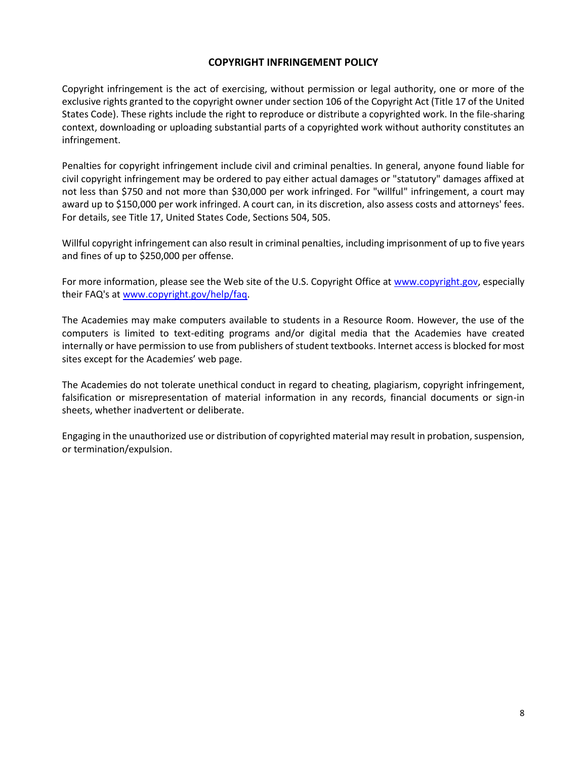# **COPYRIGHT INFRINGEMENT POLICY**

<span id="page-7-0"></span>Copyright infringement is the act of exercising, without permission or legal authority, one or more of the exclusive rights granted to the copyright owner under section 106 of the Copyright Act (Title 17 of the United States Code). These rights include the right to reproduce or distribute a copyrighted work. In the file-sharing context, downloading or uploading substantial parts of a copyrighted work without authority constitutes an infringement.

Penalties for copyright infringement include civil and criminal penalties. In general, anyone found liable for civil copyright infringement may be ordered to pay either actual damages or "statutory" damages affixed at not less than \$750 and not more than \$30,000 per work infringed. For "willful" infringement, a court may award up to \$150,000 per work infringed. A court can, in its discretion, also assess costs and attorneys' fees. For details, see Title 17, United States Code, Sections 504, 505.

Willful copyright infringement can also result in criminal penalties, including imprisonment of up to five years and fines of up to \$250,000 per offense.

For more information, please see the Web site of the U.S. Copyright Office at [www.copyright.gov,](http://www.copyright.gov/) especially their FAQ's at [www.copyright.gov/help/faq.](http://www.copyright.gov/help/faq/)

The Academies may make computers available to students in a Resource Room. However, the use of the computers is limited to text-editing programs and/or digital media that the Academies have created internally or have permission to use from publishers of student textbooks. Internet access is blocked for most sites except for the Academies' web page.

The Academies do not tolerate unethical conduct in regard to cheating, plagiarism, copyright infringement, falsification or misrepresentation of material information in any records, financial documents or sign-in sheets, whether inadvertent or deliberate.

Engaging in the unauthorized use or distribution of copyrighted material may result in probation, suspension, or termination/expulsion.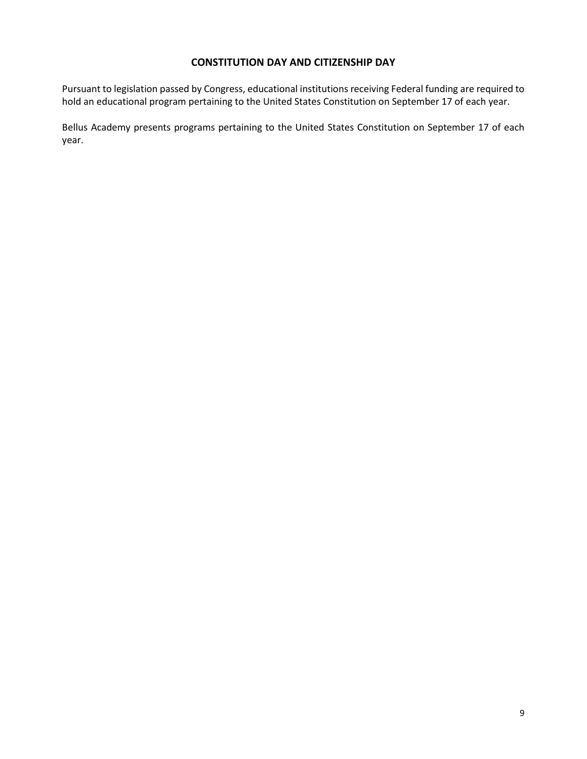# **CONSTITUTION DAY AND CITIZENSHIP DAY**

<span id="page-8-0"></span>Pursuant to legislation passed by Congress, educational institutions receiving Federal funding are required to hold an educational program pertaining to the United States Constitution on September 17 of each year.

Bellus Academy presents programs pertaining to the United States Constitution on September 17 of each year.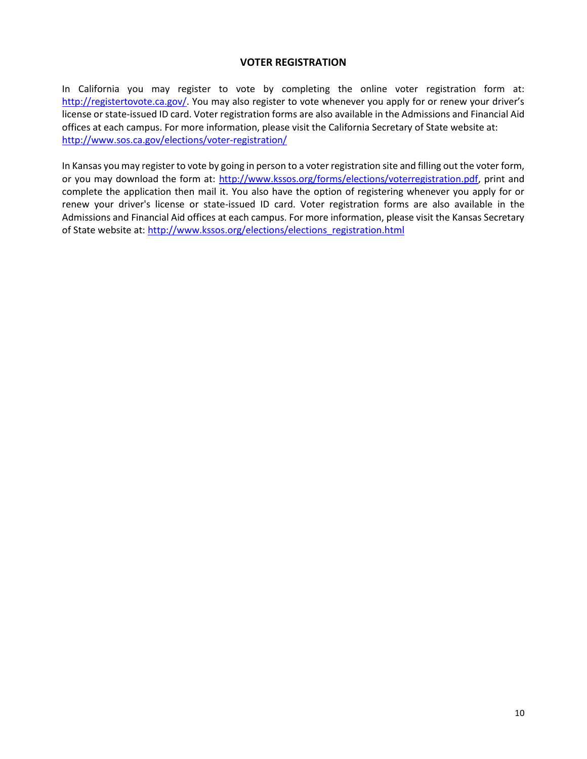# **VOTER REGISTRATION**

<span id="page-9-0"></span>In California you may register to vote by completing the online voter registration form at: <http://registertovote.ca.gov/>. You may also register to vote whenever you apply for or renew your driver's license or state-issued ID card. Voter registration forms are also available in the Admissions and Financial Aid offices at each campus. For more information, please visit the California Secretary of State website at: <http://www.sos.ca.gov/elections/voter-registration/>

In Kansas you may register to vote by going in person to a voter registration site and filling out the voter form, or you may download the form at: [http://www.kssos.org/forms/elections/voterregistration.pdf,](http://www.kssos.org/forms/elections/voterregistration.pdf) print and complete the application then mail it. You also have the option of registering whenever you apply for or renew your driver's license or state-issued ID card. Voter registration forms are also available in the Admissions and Financial Aid offices at each campus. For more information, please visit the Kansas Secretary of State website at: [http://www.kssos.org/elections/elections\\_registration.html](http://www.kssos.org/elections/elections_registration.html)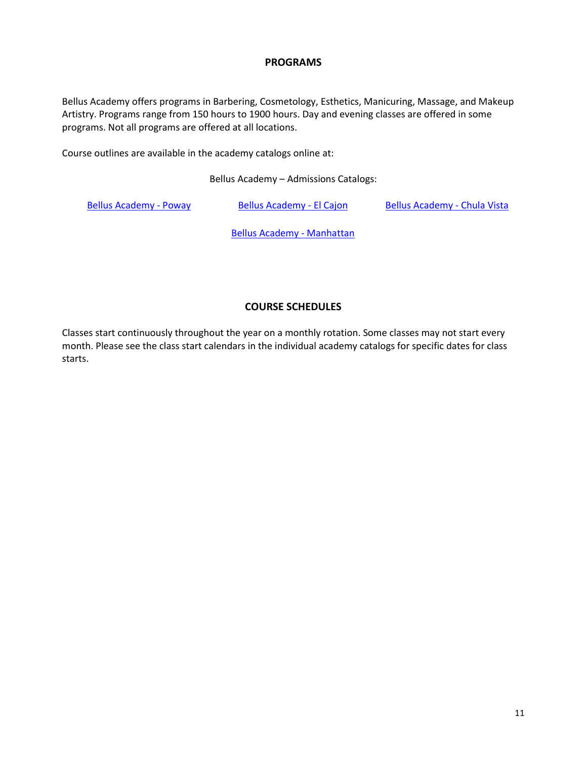# **PROGRAMS**

<span id="page-10-0"></span>Bellus Academy offers programs in Barbering, Cosmetology, Esthetics, Manicuring, Massage, and Makeup Artistry. Programs range from 150 hours to 1900 hours. Day and evening classes are offered in some programs. Not all programs are offered at all locations.

Course outlines are available in the academy catalogs online at:

Bellus Academy – Admissions Catalogs:

[Bellus Academy - Poway](https://www.bellusacademy.edu/wp-content/uploads/2021/03/Bellus-Poway-CATALOG-2021-02-08-2021v2.pdf) [Bellus Academy - El Cajon](https://www.bellusacademy.edu/wp-content/uploads/2021/02/Bellus-El-Cajon-Chula-Vista-CATALOG-2021-02-08-2021.pdf) [Bellus Academy - Chula Vista](https://www.bellusacademy.edu/wp-content/uploads/2021/02/Bellus-El-Cajon-Chula-Vista-CATALOG-2021-02-08-2021.pdf)

[Bellus Academy - Manhattan](https://www.bellusacademy.edu/wp-content/uploads/2021/03/Bellus-Manhattan-CATALOG-2021-03-02-2021.pdf)

# **COURSE SCHEDULES**

<span id="page-10-1"></span>Classes start continuously throughout the year on a monthly rotation. Some classes may not start every month. Please see the class start calendars in the individual academy catalogs for specific dates for class starts.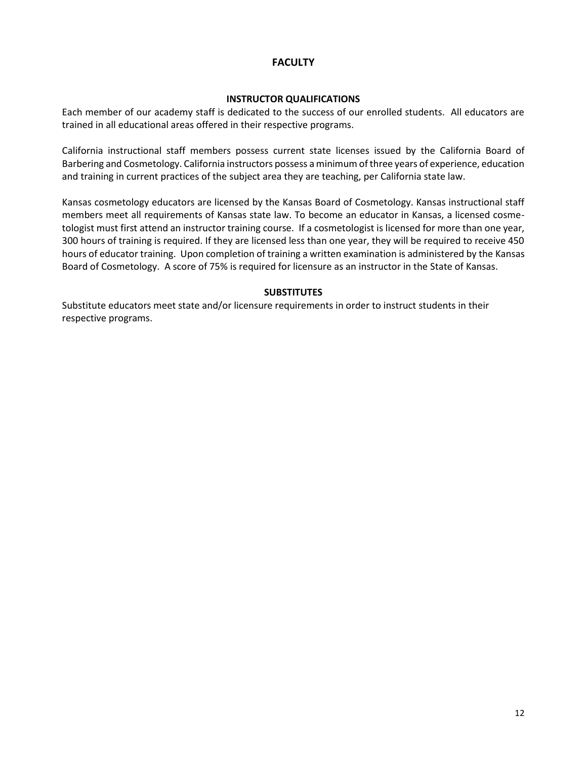# **FACULTY**

# **INSTRUCTOR QUALIFICATIONS**

<span id="page-11-1"></span><span id="page-11-0"></span>Each member of our academy staff is dedicated to the success of our enrolled students. All educators are trained in all educational areas offered in their respective programs.

California instructional staff members possess current state licenses issued by the California Board of Barbering and Cosmetology. California instructors possess a minimum of three years of experience, education and training in current practices of the subject area they are teaching, per California state law.

Kansas cosmetology educators are licensed by the Kansas Board of Cosmetology. Kansas instructional staff members meet all requirements of Kansas state law. To become an educator in Kansas, a licensed cosmetologist must first attend an instructor training course. If a cosmetologist is licensed for more than one year, 300 hours of training is required. If they are licensed less than one year, they will be required to receive 450 hours of educator training. Upon completion of training a written examination is administered by the Kansas Board of Cosmetology. A score of 75% is required for licensure as an instructor in the State of Kansas.

# **SUBSTITUTES**

<span id="page-11-2"></span>Substitute educators meet state and/or licensure requirements in order to instruct students in their respective programs.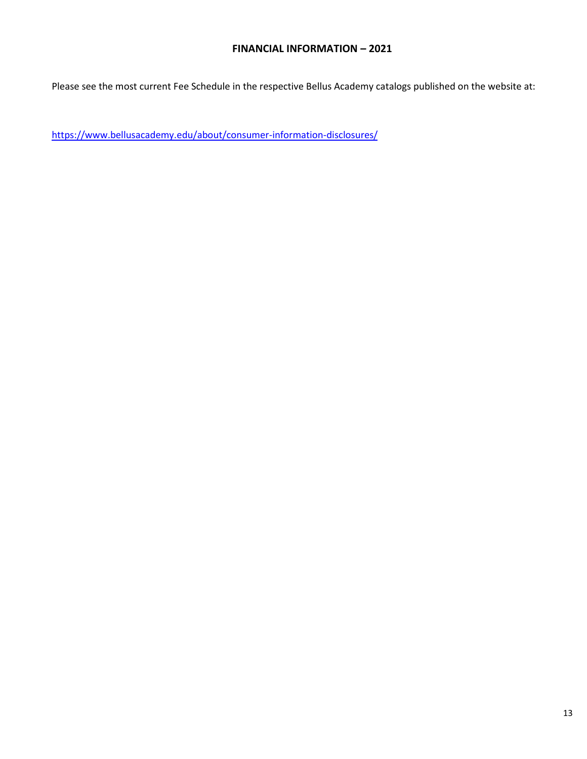# **FINANCIAL INFORMATION – 2021**

<span id="page-12-0"></span>Please see the most current Fee Schedule in the respective Bellus Academy catalogs published on the website at:

<https://www.bellusacademy.edu/about/consumer-information-disclosures/>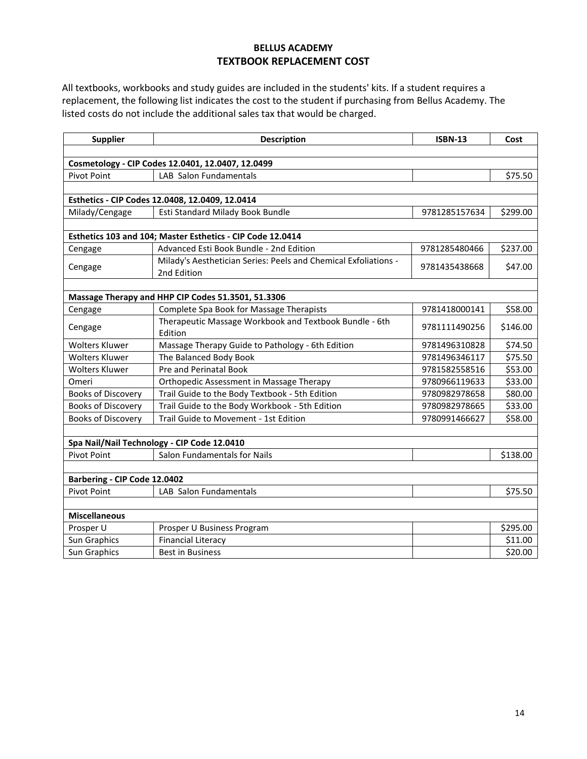# **BELLUS ACADEMY TEXTBOOK REPLACEMENT COST**

<span id="page-13-0"></span>All textbooks, workbooks and study guides are included in the students' kits. If a student requires a replacement, the following list indicates the cost to the student if purchasing from Bellus Academy. The listed costs do not include the additional sales tax that would be charged.

| <b>Supplier</b>              | <b>Description</b>                                              | <b>ISBN-13</b> | Cost     |
|------------------------------|-----------------------------------------------------------------|----------------|----------|
|                              |                                                                 |                |          |
|                              | Cosmetology - CIP Codes 12.0401, 12.0407, 12.0499               |                |          |
| <b>Pivot Point</b>           | LAB Salon Fundamentals                                          |                | \$75.50  |
|                              |                                                                 |                |          |
|                              | Esthetics - CIP Codes 12.0408, 12.0409, 12.0414                 |                |          |
| Milady/Cengage               | Esti Standard Milady Book Bundle                                | 9781285157634  | \$299.00 |
|                              |                                                                 |                |          |
|                              | Esthetics 103 and 104; Master Esthetics - CIP Code 12.0414      |                |          |
| Cengage                      | Advanced Esti Book Bundle - 2nd Edition                         | 9781285480466  | \$237.00 |
| Cengage                      | Milady's Aesthetician Series: Peels and Chemical Exfoliations - | 9781435438668  | \$47.00  |
|                              | 2nd Edition                                                     |                |          |
|                              |                                                                 |                |          |
|                              | Massage Therapy and HHP CIP Codes 51.3501, 51.3306              |                |          |
| Cengage                      | Complete Spa Book for Massage Therapists                        | 9781418000141  | \$58.00  |
| Cengage                      | Therapeutic Massage Workbook and Textbook Bundle - 6th          | 9781111490256  | \$146.00 |
|                              | Edition                                                         |                |          |
| <b>Wolters Kluwer</b>        | Massage Therapy Guide to Pathology - 6th Edition                | 9781496310828  | \$74.50  |
| <b>Wolters Kluwer</b>        | The Balanced Body Book                                          | 9781496346117  | \$75.50  |
| <b>Wolters Kluwer</b>        | Pre and Perinatal Book                                          | 9781582558516  | \$53.00  |
| Omeri                        | Orthopedic Assessment in Massage Therapy                        | 9780966119633  | \$33.00  |
| <b>Books of Discovery</b>    | Trail Guide to the Body Textbook - 5th Edition                  | 9780982978658  | \$80.00  |
| <b>Books of Discovery</b>    | Trail Guide to the Body Workbook - 5th Edition                  | 9780982978665  | \$33.00  |
| <b>Books of Discovery</b>    | Trail Guide to Movement - 1st Edition                           | 9780991466627  | \$58.00  |
|                              |                                                                 |                |          |
|                              | Spa Nail/Nail Technology - CIP Code 12.0410                     |                |          |
| <b>Pivot Point</b>           | Salon Fundamentals for Nails                                    |                | \$138.00 |
|                              |                                                                 |                |          |
| Barbering - CIP Code 12.0402 |                                                                 |                |          |
| <b>Pivot Point</b>           | LAB Salon Fundamentals                                          |                | \$75.50  |
|                              |                                                                 |                |          |
| <b>Miscellaneous</b>         |                                                                 |                |          |
| Prosper U                    | Prosper U Business Program                                      |                | \$295.00 |
| Sun Graphics                 | <b>Financial Literacy</b>                                       |                | \$11.00  |
| Sun Graphics                 | <b>Best in Business</b>                                         |                | \$20.00  |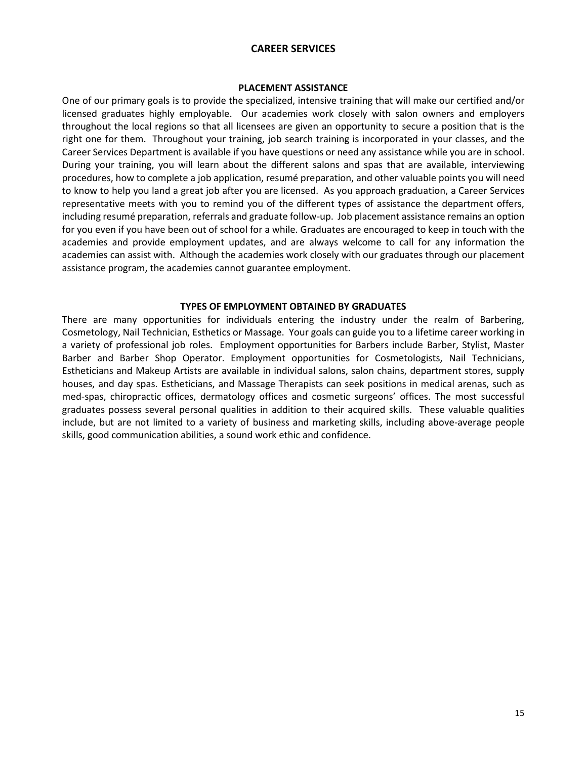## **CAREER SERVICES**

#### **PLACEMENT ASSISTANCE**

<span id="page-14-1"></span><span id="page-14-0"></span>One of our primary goals is to provide the specialized, intensive training that will make our certified and/or licensed graduates highly employable. Our academies work closely with salon owners and employers throughout the local regions so that all licensees are given an opportunity to secure a position that is the right one for them. Throughout your training, job search training is incorporated in your classes, and the Career Services Department is available if you have questions or need any assistance while you are in school. During your training, you will learn about the different salons and spas that are available, interviewing procedures, how to complete a job application, resumé preparation, and other valuable points you will need to know to help you land a great job after you are licensed. As you approach graduation, a Career Services representative meets with you to remind you of the different types of assistance the department offers, including resumé preparation, referrals and graduate follow-up. Job placement assistance remains an option for you even if you have been out of school for a while. Graduates are encouraged to keep in touch with the academies and provide employment updates, and are always welcome to call for any information the academies can assist with. Although the academies work closely with our graduates through our placement assistance program, the academies cannot guarantee employment.

## **TYPES OF EMPLOYMENT OBTAINED BY GRADUATES**

<span id="page-14-2"></span>There are many opportunities for individuals entering the industry under the realm of Barbering, Cosmetology, Nail Technician, Esthetics or Massage. Your goals can guide you to a lifetime career working in a variety of professional job roles. Employment opportunities for Barbers include Barber, Stylist, Master Barber and Barber Shop Operator. Employment opportunities for Cosmetologists, Nail Technicians, Estheticians and Makeup Artists are available in individual salons, salon chains, department stores, supply houses, and day spas. Estheticians, and Massage Therapists can seek positions in medical arenas, such as med-spas, chiropractic offices, dermatology offices and cosmetic surgeons' offices. The most successful graduates possess several personal qualities in addition to their acquired skills. These valuable qualities include, but are not limited to a variety of business and marketing skills, including above-average people skills, good communication abilities, a sound work ethic and confidence.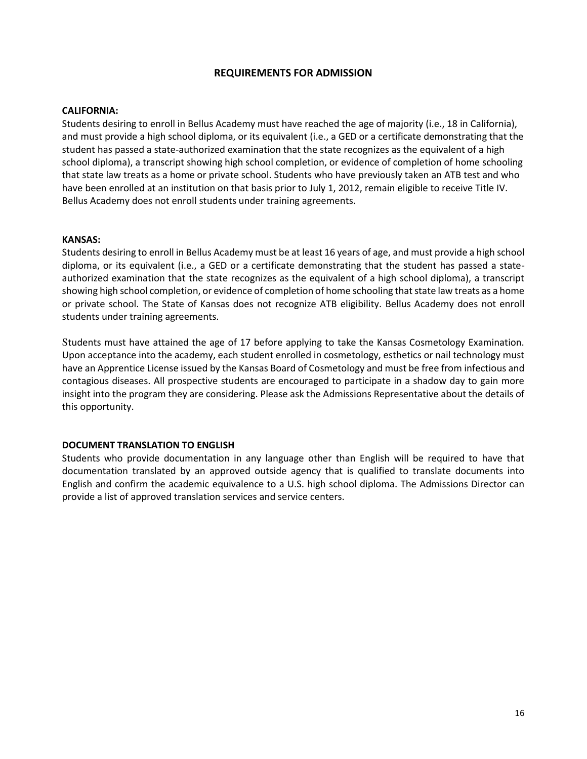# **REQUIREMENTS FOR ADMISSION**

## <span id="page-15-0"></span>**CALIFORNIA:**

Students desiring to enroll in Bellus Academy must have reached the age of majority (i.e., 18 in California), and must provide a high school diploma, or its equivalent (i.e., a GED or a certificate demonstrating that the student has passed a state-authorized examination that the state recognizes as the equivalent of a high school diploma), a transcript showing high school completion, or evidence of completion of home schooling that state law treats as a home or private school. Students who have previously taken an ATB test and who have been enrolled at an institution on that basis prior to July 1, 2012, remain eligible to receive Title IV. Bellus Academy does not enroll students under training agreements.

## **KANSAS:**

Students desiring to enroll in Bellus Academy must be at least 16 years of age, and must provide a high school diploma, or its equivalent (i.e., a GED or a certificate demonstrating that the student has passed a stateauthorized examination that the state recognizes as the equivalent of a high school diploma), a transcript showing high school completion, or evidence of completion of home schooling that state law treats as a home or private school. The State of Kansas does not recognize ATB eligibility. Bellus Academy does not enroll students under training agreements.

Students must have attained the age of 17 before applying to take the Kansas Cosmetology Examination. Upon acceptance into the academy, each student enrolled in cosmetology, esthetics or nail technology must have an Apprentice License issued by the Kansas Board of Cosmetology and must be free from infectious and contagious diseases. All prospective students are encouraged to participate in a shadow day to gain more insight into the program they are considering. Please ask the Admissions Representative about the details of this opportunity.

# **DOCUMENT TRANSLATION TO ENGLISH**

Students who provide documentation in any language other than English will be required to have that documentation translated by an approved outside agency that is qualified to translate documents into English and confirm the academic equivalence to a U.S. high school diploma. The Admissions Director can provide a list of approved translation services and service centers.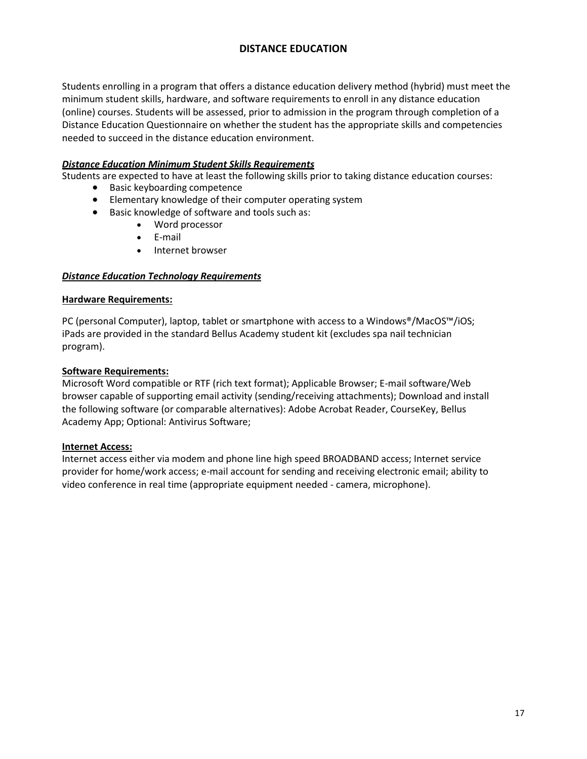# **DISTANCE EDUCATION**

<span id="page-16-0"></span>Students enrolling in a program that offers a distance education delivery method (hybrid) must meet the minimum student skills, hardware, and software requirements to enroll in any distance education (online) courses. Students will be assessed, prior to admission in the program through completion of a Distance Education Questionnaire on whether the student has the appropriate skills and competencies needed to succeed in the distance education environment.

# *Distance Education Minimum Student Skills Requirements*

Students are expected to have at least the following skills prior to taking distance education courses:

- Basic keyboarding competence
- Elementary knowledge of their computer operating system
- Basic knowledge of software and tools such as:
	- Word processor
	- E-mail
	- Internet browser

# *Distance Education Technology Requirements*

# **Hardware Requirements:**

PC (personal Computer), laptop, tablet or smartphone with access to a Windows®/MacOS™/iOS; iPads are provided in the standard Bellus Academy student kit (excludes spa nail technician program).

# **Software Requirements:**

Microsoft Word compatible or RTF (rich text format); Applicable Browser; E-mail software/Web browser capable of supporting email activity (sending/receiving attachments); Download and install the following software (or comparable alternatives): Adobe Acrobat Reader, CourseKey, Bellus Academy App; Optional: Antivirus Software;

# **Internet Access:**

Internet access either via modem and phone line high speed BROADBAND access; Internet service provider for home/work access; e-mail account for sending and receiving electronic email; ability to video conference in real time (appropriate equipment needed - camera, microphone).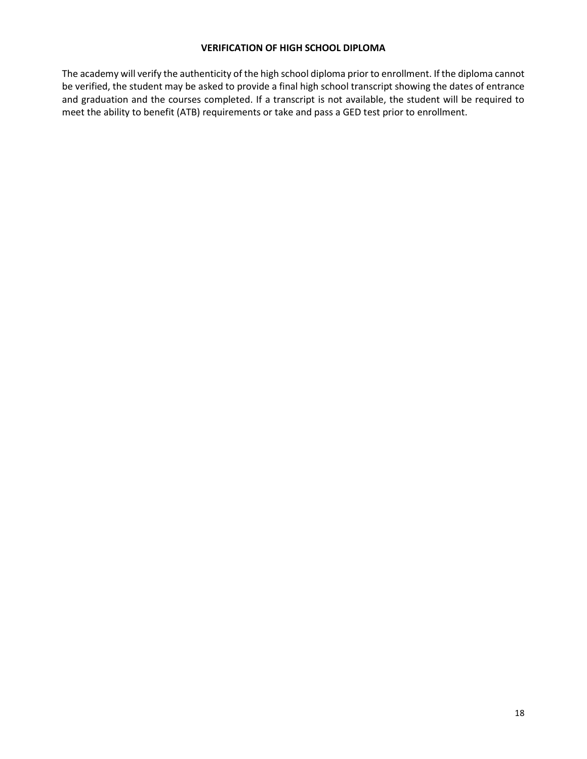# **VERIFICATION OF HIGH SCHOOL DIPLOMA**

<span id="page-17-0"></span>The academy will verify the authenticity of the high school diploma prior to enrollment. If the diploma cannot be verified, the student may be asked to provide a final high school transcript showing the dates of entrance and graduation and the courses completed. If a transcript is not available, the student will be required to meet the ability to benefit (ATB) requirements or take and pass a GED test prior to enrollment.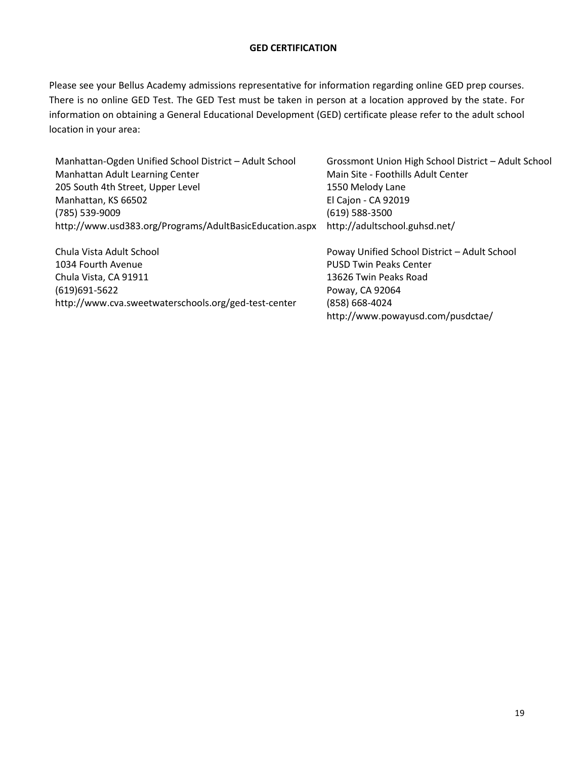# **GED CERTIFICATION**

<span id="page-18-0"></span>Please see your Bellus Academy admissions representative for information regarding online GED prep courses. There is no online GED Test. The GED Test must be taken in person at a location approved by the state. For information on obtaining a General Educational Development (GED) certificate please refer to the adult school location in your area:

| Manhattan-Ogden Unified School District - Adult School                                                                                           | Grossmont Union High School District - Adult School                                                                                                                              |
|--------------------------------------------------------------------------------------------------------------------------------------------------|----------------------------------------------------------------------------------------------------------------------------------------------------------------------------------|
| Manhattan Adult Learning Center                                                                                                                  | Main Site - Foothills Adult Center                                                                                                                                               |
| 205 South 4th Street, Upper Level                                                                                                                | 1550 Melody Lane                                                                                                                                                                 |
| Manhattan, KS 66502                                                                                                                              | El Cajon - CA 92019                                                                                                                                                              |
| (785) 539-9009                                                                                                                                   | $(619)$ 588-3500                                                                                                                                                                 |
| http://www.usd383.org/Programs/AdultBasicEducation.aspx                                                                                          | http://adultschool.guhsd.net/                                                                                                                                                    |
| Chula Vista Adult School<br>1034 Fourth Avenue<br>Chula Vista, CA 91911<br>(619)691-5622<br>http://www.cva.sweetwaterschools.org/ged-test-center | Poway Unified School District - Adult School<br><b>PUSD Twin Peaks Center</b><br>13626 Twin Peaks Road<br>Poway, CA 92064<br>(858) 668-4024<br>http://www.powayusd.com/pusdctae/ |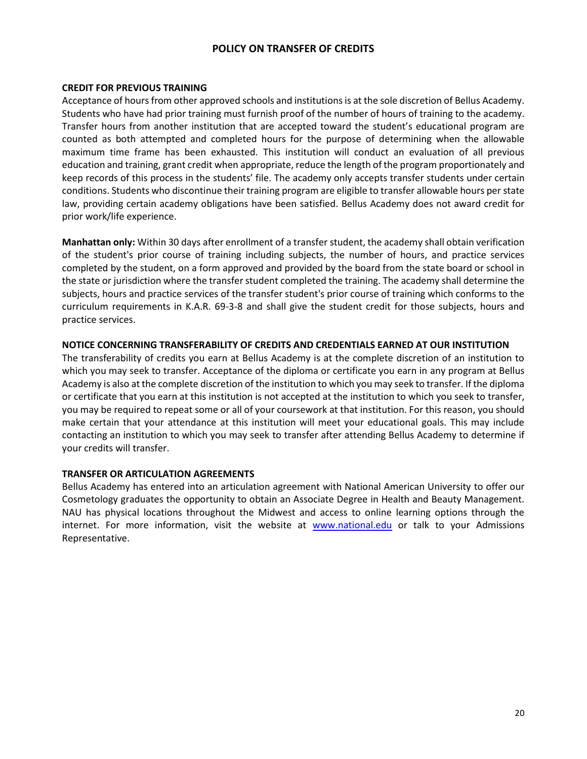# **POLICY ON TRANSFER OF CREDITS**

## <span id="page-19-1"></span><span id="page-19-0"></span>**CREDIT FOR PREVIOUS TRAINING**

Acceptance of hours from other approved schools and institutions is at the sole discretion of Bellus Academy. Students who have had prior training must furnish proof of the number of hours of training to the academy. Transfer hours from another institution that are accepted toward the student's educational program are counted as both attempted and completed hours for the purpose of determining when the allowable maximum time frame has been exhausted. This institution will conduct an evaluation of all previous education and training, grant credit when appropriate, reduce the length of the program proportionately and keep records of this process in the students' file. The academy only accepts transfer students under certain conditions. Students who discontinue their training program are eligible to transfer allowable hours per state law, providing certain academy obligations have been satisfied. Bellus Academy does not award credit for prior work/life experience.

**Manhattan only:** Within 30 days after enrollment of a transfer student, the academy shall obtain verification of the student's prior course of training including subjects, the number of hours, and practice services completed by the student, on a form approved and provided by the board from the state board or school in the state or jurisdiction where the transfer student completed the training. The academy shall determine the subjects, hours and practice services of the transfer student's prior course of training which conforms to the curriculum requirements in K.A.R. 69-3-8 and shall give the student credit for those subjects, hours and practice services.

## <span id="page-19-2"></span>**NOTICE CONCERNING TRANSFERABILITY OF CREDITS AND CREDENTIALS EARNED AT OUR INSTITUTION**

The transferability of credits you earn at Bellus Academy is at the complete discretion of an institution to which you may seek to transfer. Acceptance of the diploma or certificate you earn in any program at Bellus Academy is also at the complete discretion of the institution to which you may seek to transfer. If the diploma or certificate that you earn at this institution is not accepted at the institution to which you seek to transfer, you may be required to repeat some or all of your coursework at that institution. For this reason, you should make certain that your attendance at this institution will meet your educational goals. This may include contacting an institution to which you may seek to transfer after attending Bellus Academy to determine if your credits will transfer.

# <span id="page-19-3"></span>**TRANSFER OR ARTICULATION AGREEMENTS**

Bellus Academy has entered into an articulation agreement with National American University to offer our Cosmetology graduates the opportunity to obtain an Associate Degree in Health and Beauty Management. NAU has physical locations throughout the Midwest and access to online learning options through the internet. For more information, visit the website at **www.national.edu** or talk to your Admissions Representative.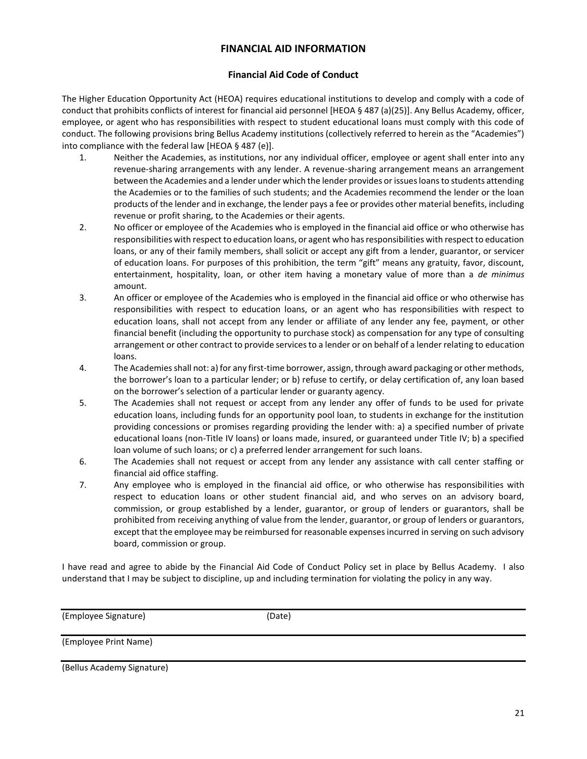# **FINANCIAL AID INFORMATION**

## **Financial Aid Code of Conduct**

<span id="page-20-1"></span><span id="page-20-0"></span>The Higher Education Opportunity Act (HEOA) requires educational institutions to develop and comply with a code of conduct that prohibits conflicts of interest for financial aid personnel [HEOA § 487 (a)(25)]. Any Bellus Academy, officer, employee, or agent who has responsibilities with respect to student educational loans must comply with this code of conduct. The following provisions bring Bellus Academy institutions (collectively referred to herein as the "Academies") into compliance with the federal law [HEOA § 487 (e)].

- 1. Neither the Academies, as institutions, nor any individual officer, employee or agent shall enter into any revenue-sharing arrangements with any lender. A revenue-sharing arrangement means an arrangement between the Academies and a lender under which the lender provides or issues loans to students attending the Academies or to the families of such students; and the Academies recommend the lender or the loan products of the lender and in exchange, the lender pays a fee or provides other material benefits, including revenue or profit sharing, to the Academies or their agents.
- 2. No officer or employee of the Academies who is employed in the financial aid office or who otherwise has responsibilities with respect to education loans, or agent who has responsibilities with respect to education loans, or any of their family members, shall solicit or accept any gift from a lender, guarantor, or servicer of education loans. For purposes of this prohibition, the term "gift" means any gratuity, favor, discount, entertainment, hospitality, loan, or other item having a monetary value of more than a *de minimus* amount.
- 3. An officer or employee of the Academies who is employed in the financial aid office or who otherwise has responsibilities with respect to education loans, or an agent who has responsibilities with respect to education loans, shall not accept from any lender or affiliate of any lender any fee, payment, or other financial benefit (including the opportunity to purchase stock) as compensation for any type of consulting arrangement or other contract to provide services to a lender or on behalf of a lender relating to education loans.
- 4. The Academies shall not: a) for any first-time borrower, assign, through award packaging or other methods, the borrower's loan to a particular lender; or b) refuse to certify, or delay certification of, any loan based on the borrower's selection of a particular lender or guaranty agency.
- 5. The Academies shall not request or accept from any lender any offer of funds to be used for private education loans, including funds for an opportunity pool loan, to students in exchange for the institution providing concessions or promises regarding providing the lender with: a) a specified number of private educational loans (non-Title IV loans) or loans made, insured, or guaranteed under Title IV; b) a specified loan volume of such loans; or c) a preferred lender arrangement for such loans.
- 6. The Academies shall not request or accept from any lender any assistance with call center staffing or financial aid office staffing.
- 7. Any employee who is employed in the financial aid office, or who otherwise has responsibilities with respect to education loans or other student financial aid, and who serves on an advisory board, commission, or group established by a lender, guarantor, or group of lenders or guarantors, shall be prohibited from receiving anything of value from the lender, guarantor, or group of lenders or guarantors, except that the employee may be reimbursed for reasonable expenses incurred in serving on such advisory board, commission or group.

I have read and agree to abide by the Financial Aid Code of Conduct Policy set in place by Bellus Academy. I also understand that I may be subject to discipline, up and including termination for violating the policy in any way.

(Employee Signature) (Date)

(Employee Print Name)

(Bellus Academy Signature)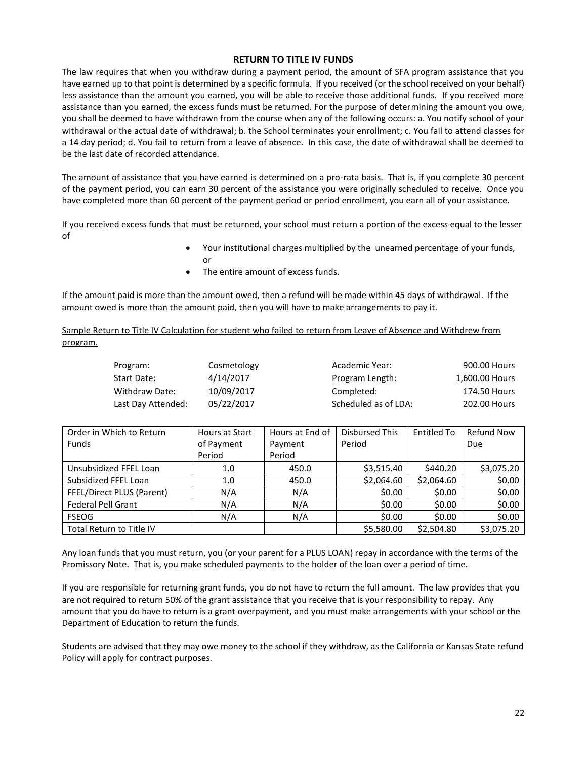## **RETURN TO TITLE IV FUNDS**

<span id="page-21-0"></span>The law requires that when you withdraw during a payment period, the amount of SFA program assistance that you have earned up to that point is determined by a specific formula. If you received (or the school received on your behalf) less assistance than the amount you earned, you will be able to receive those additional funds. If you received more assistance than you earned, the excess funds must be returned. For the purpose of determining the amount you owe, you shall be deemed to have withdrawn from the course when any of the following occurs: a. You notify school of your withdrawal or the actual date of withdrawal; b. the School terminates your enrollment; c. You fail to attend classes for a 14 day period; d. You fail to return from a leave of absence. In this case, the date of withdrawal shall be deemed to be the last date of recorded attendance.

The amount of assistance that you have earned is determined on a pro-rata basis. That is, if you complete 30 percent of the payment period, you can earn 30 percent of the assistance you were originally scheduled to receive. Once you have completed more than 60 percent of the payment period or period enrollment, you earn all of your assistance.

If you received excess funds that must be returned, your school must return a portion of the excess equal to the lesser of

- Your institutional charges multiplied by the unearned percentage of your funds, or
- The entire amount of excess funds.

If the amount paid is more than the amount owed, then a refund will be made within 45 days of withdrawal. If the amount owed is more than the amount paid, then you will have to make arrangements to pay it.

Sample Return to Title IV Calculation for student who failed to return from Leave of Absence and Withdrew from program.

| Program:           | Cosmetology | Academic Year:       | 900.00 Hours   |
|--------------------|-------------|----------------------|----------------|
| Start Date:        | 4/14/2017   | Program Length:      | 1,600.00 Hours |
| Withdraw Date:     | 10/09/2017  | Completed:           | 174.50 Hours   |
| Last Day Attended: | 05/22/2017  | Scheduled as of LDA: | 202.00 Hours   |

| Order in Which to Return  | Hours at Start | Hours at End of | Disbursed This | <b>Entitled To</b> | <b>Refund Now</b> |
|---------------------------|----------------|-----------------|----------------|--------------------|-------------------|
| <b>Funds</b>              | of Payment     | Payment         | Period         |                    | Due               |
|                           | Period         | Period          |                |                    |                   |
| Unsubsidized FFEL Loan    | 1.0            | 450.0           | \$3,515.40     | \$440.20           | \$3,075.20        |
| Subsidized FFEL Loan      | 1.0            | 450.0           | \$2,064.60     | \$2,064.60         | \$0.00            |
| FFEL/Direct PLUS (Parent) | N/A            | N/A             | \$0.00         | \$0.00             | \$0.00            |
| <b>Federal Pell Grant</b> | N/A            | N/A             | \$0.00         | \$0.00             | \$0.00            |
| <b>FSEOG</b>              | N/A            | N/A             | \$0.00         | \$0.00             | \$0.00            |
| Total Return to Title IV  |                |                 | \$5,580.00     | \$2,504.80         | \$3,075.20        |

Any loan funds that you must return, you (or your parent for a PLUS LOAN) repay in accordance with the terms of the Promissory Note. That is, you make scheduled payments to the holder of the loan over a period of time.

If you are responsible for returning grant funds, you do not have to return the full amount. The law provides that you are not required to return 50% of the grant assistance that you receive that is your responsibility to repay. Any amount that you do have to return is a grant overpayment, and you must make arrangements with your school or the Department of Education to return the funds.

Students are advised that they may owe money to the school if they withdraw, as the California or Kansas State refund Policy will apply for contract purposes.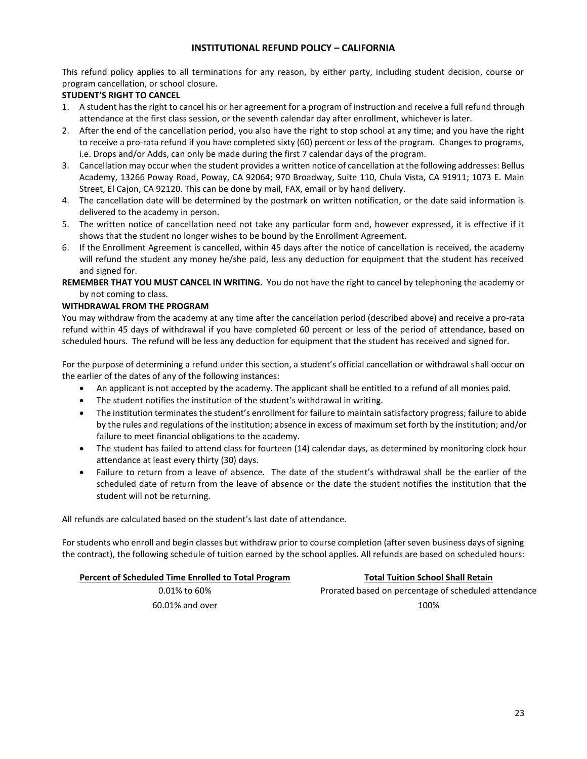# **INSTITUTIONAL REFUND POLICY – CALIFORNIA**

<span id="page-22-0"></span>This refund policy applies to all terminations for any reason, by either party, including student decision, course or program cancellation, or school closure.

# <span id="page-22-1"></span>**STUDENT'S RIGHT TO CANCEL**

- 1. A student has the right to cancel his or her agreement for a program of instruction and receive a full refund through attendance at the first class session, or the seventh calendar day after enrollment, whichever is later.
- 2. After the end of the cancellation period, you also have the right to stop school at any time; and you have the right to receive a pro-rata refund if you have completed sixty (60) percent or less of the program. Changes to programs, i.e. Drops and/or Adds, can only be made during the first 7 calendar days of the program.
- 3. Cancellation may occur when the student provides a written notice of cancellation at the following addresses: Bellus Academy, 13266 Poway Road, Poway, CA 92064; 970 Broadway, Suite 110, Chula Vista, CA 91911; 1073 E. Main Street, El Cajon, CA 92120. This can be done by mail, FAX, email or by hand delivery.
- 4. The cancellation date will be determined by the postmark on written notification, or the date said information is delivered to the academy in person.
- 5. The written notice of cancellation need not take any particular form and, however expressed, it is effective if it shows that the student no longer wishes to be bound by the Enrollment Agreement.
- 6. If the Enrollment Agreement is cancelled, within 45 days after the notice of cancellation is received, the academy will refund the student any money he/she paid, less any deduction for equipment that the student has received and signed for.
- **REMEMBER THAT YOU MUST CANCEL IN WRITING.** You do not have the right to cancel by telephoning the academy or by not coming to class.

## <span id="page-22-2"></span>**WITHDRAWAL FROM THE PROGRAM**

You may withdraw from the academy at any time after the cancellation period (described above) and receive a pro-rata refund within 45 days of withdrawal if you have completed 60 percent or less of the period of attendance, based on scheduled hours. The refund will be less any deduction for equipment that the student has received and signed for.

For the purpose of determining a refund under this section, a student's official cancellation or withdrawal shall occur on the earlier of the dates of any of the following instances:

- An applicant is not accepted by the academy. The applicant shall be entitled to a refund of all monies paid.
- The student notifies the institution of the student's withdrawal in writing.
- The institution terminates the student's enrollment for failure to maintain satisfactory progress; failure to abide by the rules and regulations of the institution; absence in excess of maximum set forth by the institution; and/or failure to meet financial obligations to the academy.
- The student has failed to attend class for fourteen (14) calendar days, as determined by monitoring clock hour attendance at least every thirty (30) days.
- Failure to return from a leave of absence. The date of the student's withdrawal shall be the earlier of the scheduled date of return from the leave of absence or the date the student notifies the institution that the student will not be returning.

All refunds are calculated based on the student's last date of attendance.

For students who enroll and begin classes but withdraw prior to course completion (after seven business days of signing the contract), the following schedule of tuition earned by the school applies. All refunds are based on scheduled hours:

## **Percent of Scheduled Time Enrolled to Total Program Total Tuition School Shall Retain**

0.01% to 60% Prorated based on percentage of scheduled attendance 60.01% and over 100%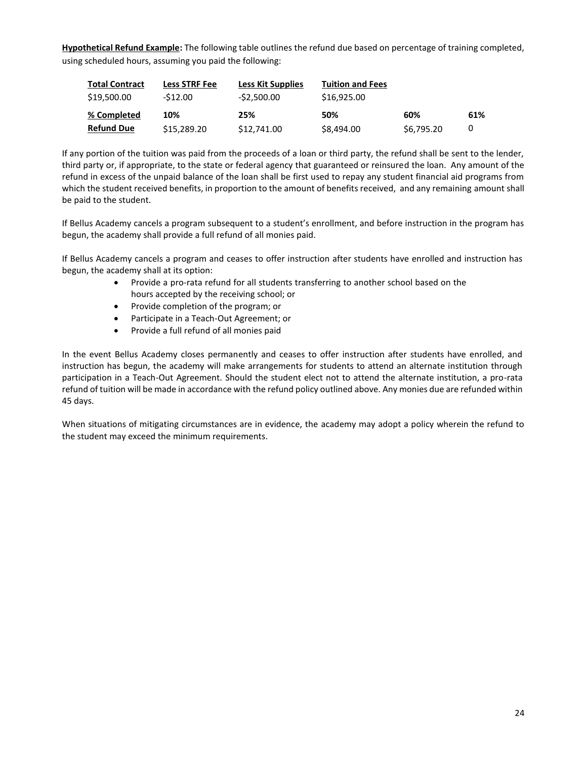**Hypothetical Refund Example:** The following table outlines the refund due based on percentage of training completed, using scheduled hours, assuming you paid the following:

| <b>Total Contract</b><br>\$19,500.00 | <b>Less STRF Fee</b><br>$-512.00$ | <b>Less Kit Supplies</b><br>$-52,500.00$ | <b>Tuition and Fees</b><br>\$16,925.00 |            |     |
|--------------------------------------|-----------------------------------|------------------------------------------|----------------------------------------|------------|-----|
| % Completed                          | 10%                               | 25%                                      | 50%                                    | 60%        | 61% |
| <b>Refund Due</b>                    | \$15,289.20                       | \$12,741.00                              | \$8,494.00                             | \$6,795.20 | 0   |

If any portion of the tuition was paid from the proceeds of a loan or third party, the refund shall be sent to the lender, third party or, if appropriate, to the state or federal agency that guaranteed or reinsured the loan. Any amount of the refund in excess of the unpaid balance of the loan shall be first used to repay any student financial aid programs from which the student received benefits, in proportion to the amount of benefits received, and any remaining amount shall be paid to the student.

If Bellus Academy cancels a program subsequent to a student's enrollment, and before instruction in the program has begun, the academy shall provide a full refund of all monies paid.

If Bellus Academy cancels a program and ceases to offer instruction after students have enrolled and instruction has begun, the academy shall at its option:

- Provide a pro-rata refund for all students transferring to another school based on the hours accepted by the receiving school; or
- Provide completion of the program; or
- Participate in a Teach-Out Agreement; or
- Provide a full refund of all monies paid

In the event Bellus Academy closes permanently and ceases to offer instruction after students have enrolled, and instruction has begun, the academy will make arrangements for students to attend an alternate institution through participation in a Teach-Out Agreement. Should the student elect not to attend the alternate institution, a pro-rata refund of tuition will be made in accordance with the refund policy outlined above. Any monies due are refunded within 45 days.

When situations of mitigating circumstances are in evidence, the academy may adopt a policy wherein the refund to the student may exceed the minimum requirements.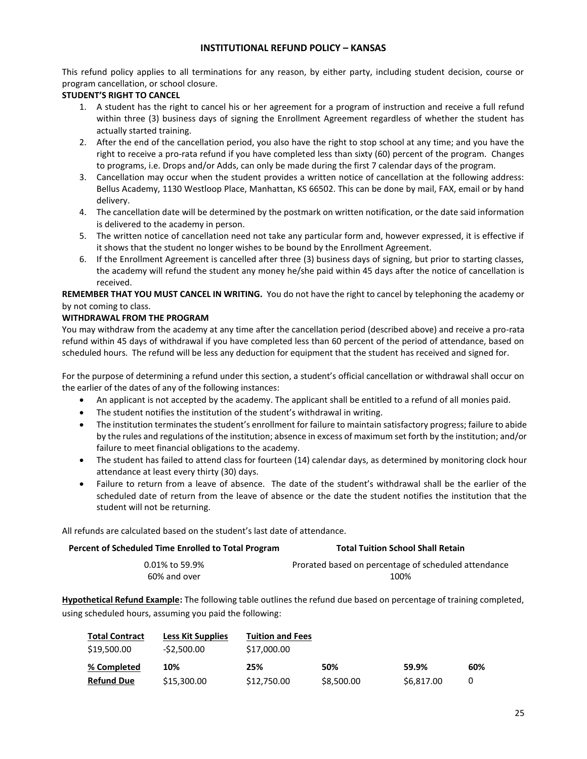# **INSTITUTIONAL REFUND POLICY – KANSAS**

<span id="page-24-0"></span>This refund policy applies to all terminations for any reason, by either party, including student decision, course or program cancellation, or school closure.

# <span id="page-24-1"></span>**STUDENT'S RIGHT TO CANCEL**

- 1. A student has the right to cancel his or her agreement for a program of instruction and receive a full refund within three (3) business days of signing the Enrollment Agreement regardless of whether the student has actually started training.
- 2. After the end of the cancellation period, you also have the right to stop school at any time; and you have the right to receive a pro-rata refund if you have completed less than sixty (60) percent of the program. Changes to programs, i.e. Drops and/or Adds, can only be made during the first 7 calendar days of the program.
- 3. Cancellation may occur when the student provides a written notice of cancellation at the following address: Bellus Academy, 1130 Westloop Place, Manhattan, KS 66502. This can be done by mail, FAX, email or by hand delivery.
- 4. The cancellation date will be determined by the postmark on written notification, or the date said information is delivered to the academy in person.
- 5. The written notice of cancellation need not take any particular form and, however expressed, it is effective if it shows that the student no longer wishes to be bound by the Enrollment Agreement.
- 6. If the Enrollment Agreement is cancelled after three (3) business days of signing, but prior to starting classes, the academy will refund the student any money he/she paid within 45 days after the notice of cancellation is received.

## **REMEMBER THAT YOU MUST CANCEL IN WRITING.** You do not have the right to cancel by telephoning the academy or by not coming to class.

## <span id="page-24-2"></span>**WITHDRAWAL FROM THE PROGRAM**

You may withdraw from the academy at any time after the cancellation period (described above) and receive a pro-rata refund within 45 days of withdrawal if you have completed less than 60 percent of the period of attendance, based on scheduled hours. The refund will be less any deduction for equipment that the student has received and signed for.

For the purpose of determining a refund under this section, a student's official cancellation or withdrawal shall occur on the earlier of the dates of any of the following instances:

- An applicant is not accepted by the academy. The applicant shall be entitled to a refund of all monies paid.
- The student notifies the institution of the student's withdrawal in writing.
- The institution terminates the student's enrollment for failure to maintain satisfactory progress; failure to abide by the rules and regulations of the institution; absence in excess of maximum set forth by the institution; and/or failure to meet financial obligations to the academy.
- The student has failed to attend class for fourteen (14) calendar days, as determined by monitoring clock hour attendance at least every thirty (30) days.
- Failure to return from a leave of absence. The date of the student's withdrawal shall be the earlier of the scheduled date of return from the leave of absence or the date the student notifies the institution that the student will not be returning.

All refunds are calculated based on the student's last date of attendance.

| Percent of Scheduled Time Enrolled to Total Program | <b>Total Tuition School Shall Retain</b>             |
|-----------------------------------------------------|------------------------------------------------------|
| 0.01% to 59.9%                                      | Prorated based on percentage of scheduled attendance |
| 60% and over                                        | 100%                                                 |

**Hypothetical Refund Example:** The following table outlines the refund due based on percentage of training completed, using scheduled hours, assuming you paid the following:

| <b>Total Contract</b> | <b>Less Kit Supplies</b> | <b>Tuition and Fees</b> |     |       |     |
|-----------------------|--------------------------|-------------------------|-----|-------|-----|
| \$19,500.00           | $-52.500.00$             | \$17,000.00             |     |       |     |
|                       |                          |                         |     |       |     |
| % Completed           | 10%                      | 25%                     | 50% | 59.9% | 60% |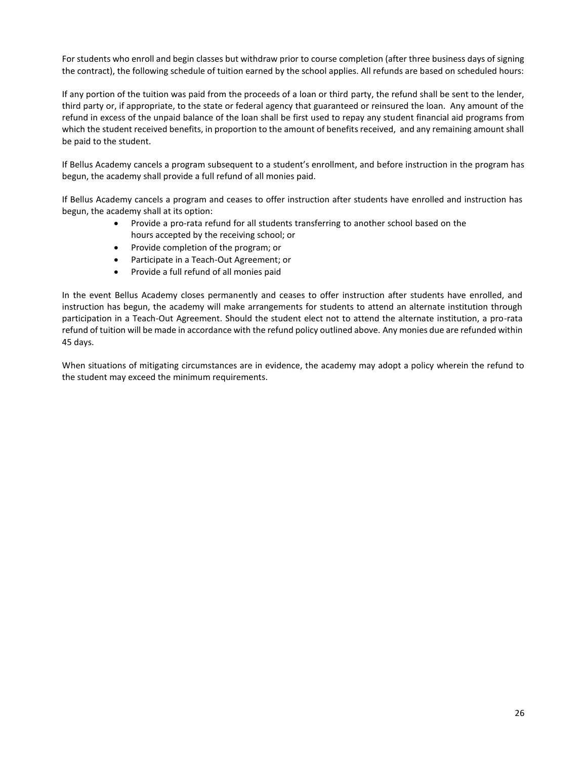For students who enroll and begin classes but withdraw prior to course completion (after three business days of signing the contract), the following schedule of tuition earned by the school applies. All refunds are based on scheduled hours:

If any portion of the tuition was paid from the proceeds of a loan or third party, the refund shall be sent to the lender, third party or, if appropriate, to the state or federal agency that guaranteed or reinsured the loan. Any amount of the refund in excess of the unpaid balance of the loan shall be first used to repay any student financial aid programs from which the student received benefits, in proportion to the amount of benefits received, and any remaining amount shall be paid to the student.

If Bellus Academy cancels a program subsequent to a student's enrollment, and before instruction in the program has begun, the academy shall provide a full refund of all monies paid.

If Bellus Academy cancels a program and ceases to offer instruction after students have enrolled and instruction has begun, the academy shall at its option:

- Provide a pro-rata refund for all students transferring to another school based on the hours accepted by the receiving school; or
- Provide completion of the program; or
- Participate in a Teach-Out Agreement; or
- Provide a full refund of all monies paid

In the event Bellus Academy closes permanently and ceases to offer instruction after students have enrolled, and instruction has begun, the academy will make arrangements for students to attend an alternate institution through participation in a Teach-Out Agreement. Should the student elect not to attend the alternate institution, a pro-rata refund of tuition will be made in accordance with the refund policy outlined above. Any monies due are refunded within 45 days.

When situations of mitigating circumstances are in evidence, the academy may adopt a policy wherein the refund to the student may exceed the minimum requirements.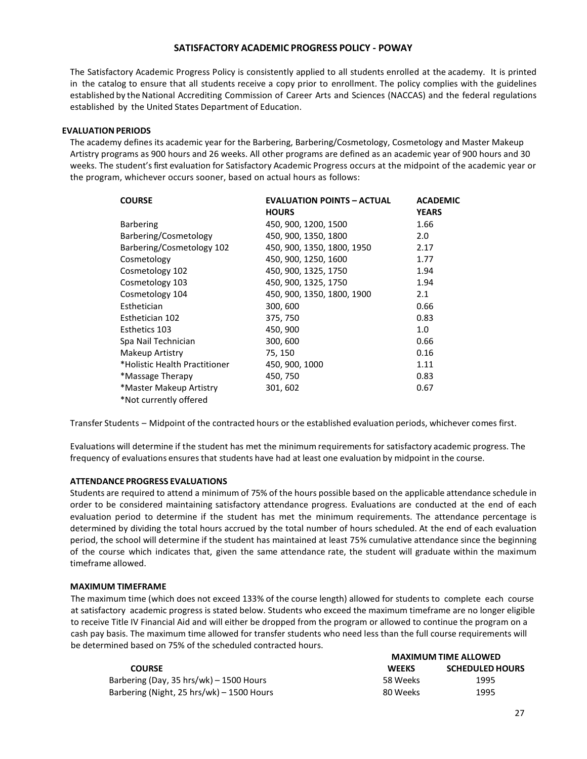#### **SATISFACTORY ACADEMIC PROGRESS POLICY - POWAY**

<span id="page-26-0"></span>The Satisfactory Academic Progress Policy is consistently applied to all students enrolled at the academy. It is printed in the catalog to ensure that all students receive a copy prior to enrollment. The policy complies with the guidelines established by the National Accrediting Commission of Career Arts and Sciences (NACCAS) and the federal regulations established by the United States Department of Education.

#### **EVALUATION PERIODS**

The academy defines its academic year for the Barbering, Barbering/Cosmetology, Cosmetology and Master Makeup Artistry programs as 900 hours and 26 weeks. All other programs are defined as an academic year of 900 hours and 30 weeks. The student's first evaluation for Satisfactory Academic Progress occurs at the midpoint of the academic year or the program, whichever occurs sooner, based on actual hours as follows:

| <b>COURSE</b>                 | <b>EVALUATION POINTS - ACTUAL</b> | <b>ACADEMIC</b> |
|-------------------------------|-----------------------------------|-----------------|
|                               | <b>HOURS</b>                      | <b>YEARS</b>    |
| <b>Barbering</b>              | 450, 900, 1200, 1500              | 1.66            |
| Barbering/Cosmetology         | 450, 900, 1350, 1800              | 2.0             |
| Barbering/Cosmetology 102     | 450, 900, 1350, 1800, 1950        | 2.17            |
| Cosmetology                   | 450, 900, 1250, 1600              | 1.77            |
| Cosmetology 102               | 450, 900, 1325, 1750              | 1.94            |
| Cosmetology 103               | 450, 900, 1325, 1750              | 1.94            |
| Cosmetology 104               | 450, 900, 1350, 1800, 1900        | 2.1             |
| Esthetician                   | 300, 600                          | 0.66            |
| Esthetician 102               | 375, 750                          | 0.83            |
| Esthetics 103                 | 450, 900                          | 1.0             |
| Spa Nail Technician           | 300, 600                          | 0.66            |
| Makeup Artistry               | 75, 150                           | 0.16            |
| *Holistic Health Practitioner | 450, 900, 1000                    | 1.11            |
| *Massage Therapy              | 450, 750                          | 0.83            |
| *Master Makeup Artistry       | 301, 602                          | 0.67            |
| *Not currently offered        |                                   |                 |

Transfer Students – Midpoint of the contracted hours or the established evaluation periods, whichever comes first.

Evaluations will determine if the student has met the minimum requirements for satisfactory academic progress. The frequency of evaluations ensures that students have had at least one evaluation by midpoint in the course.

#### **ATTENDANCE PROGRESS EVALUATIONS**

Students are required to attend a minimum of 75% of the hours possible based on the applicable attendance schedule in order to be considered maintaining satisfactory attendance progress. Evaluations are conducted at the end of each evaluation period to determine if the student has met the minimum requirements. The attendance percentage is determined by dividing the total hours accrued by the total number of hours scheduled. At the end of each evaluation period, the school will determine if the student has maintained at least 75% cumulative attendance since the beginning of the course which indicates that, given the same attendance rate, the student will graduate within the maximum timeframe allowed.

#### **MAXIMUM TIMEFRAME**

The maximum time (which does not exceed 133% of the course length) allowed for students to complete each course at satisfactory academic progress is stated below. Students who exceed the maximum timeframe are no longer eligible to receive Title IV Financial Aid and will either be dropped from the program or allowed to continue the program on a cash pay basis. The maximum time allowed for transfer students who need less than the full course requirements will be determined based on 75% of the scheduled contracted hours.

| <b>COURSE</b>                             | <b>WEEKS</b> | <b>SCHEDULED HOURS</b> |
|-------------------------------------------|--------------|------------------------|
| Barbering (Day, 35 hrs/wk) - 1500 Hours   | 58 Weeks     | 1995                   |
| Barbering (Night, 25 hrs/wk) - 1500 Hours | 80 Weeks     | 1995                   |

**MAXIMUM TIME ALLOWED**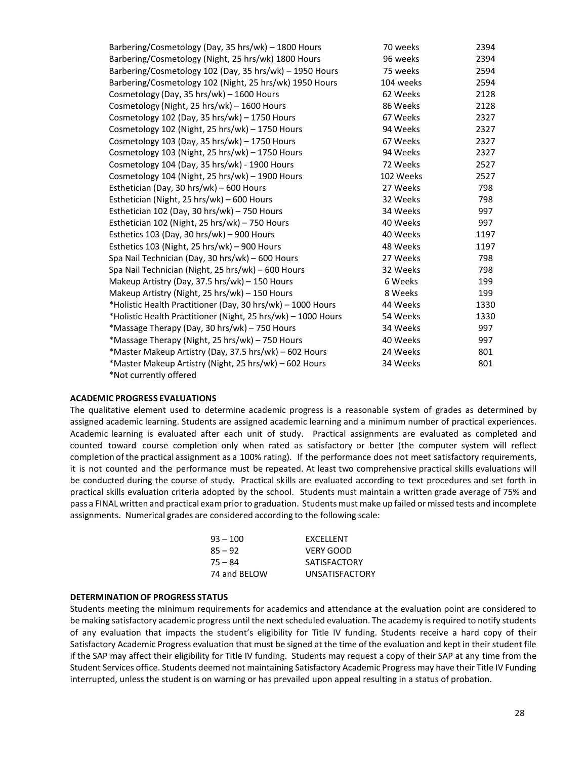| Barbering/Cosmetology (Day, 35 hrs/wk) - 1800 Hours           | 70 weeks  | 2394 |
|---------------------------------------------------------------|-----------|------|
| Barbering/Cosmetology (Night, 25 hrs/wk) 1800 Hours           | 96 weeks  | 2394 |
| Barbering/Cosmetology 102 (Day, 35 hrs/wk) - 1950 Hours       | 75 weeks  | 2594 |
| Barbering/Cosmetology 102 (Night, 25 hrs/wk) 1950 Hours       | 104 weeks | 2594 |
| Cosmetology (Day, 35 hrs/wk) - 1600 Hours                     | 62 Weeks  | 2128 |
| Cosmetology (Night, 25 hrs/wk) - 1600 Hours                   | 86 Weeks  | 2128 |
| Cosmetology 102 (Day, 35 hrs/wk) - 1750 Hours                 | 67 Weeks  | 2327 |
| Cosmetology 102 (Night, 25 hrs/wk) - 1750 Hours               | 94 Weeks  | 2327 |
| Cosmetology 103 (Day, 35 hrs/wk) - 1750 Hours                 | 67 Weeks  | 2327 |
| Cosmetology 103 (Night, 25 hrs/wk) - 1750 Hours               | 94 Weeks  | 2327 |
| Cosmetology 104 (Day, 35 hrs/wk) - 1900 Hours                 | 72 Weeks  | 2527 |
| Cosmetology 104 (Night, 25 hrs/wk) – 1900 Hours               | 102 Weeks | 2527 |
| Esthetician (Day, 30 hrs/wk) – 600 Hours                      | 27 Weeks  | 798  |
| Esthetician (Night, 25 hrs/wk) - 600 Hours                    | 32 Weeks  | 798  |
| Esthetician 102 (Day, 30 hrs/wk) - 750 Hours                  | 34 Weeks  | 997  |
| Esthetician 102 (Night, 25 hrs/wk) - 750 Hours                | 40 Weeks  | 997  |
| Esthetics 103 (Day, 30 hrs/wk) $-$ 900 Hours                  | 40 Weeks  | 1197 |
| Esthetics 103 (Night, 25 hrs/wk) - 900 Hours                  | 48 Weeks  | 1197 |
| Spa Nail Technician (Day, 30 hrs/wk) - 600 Hours              | 27 Weeks  | 798  |
| Spa Nail Technician (Night, 25 hrs/wk) - 600 Hours            | 32 Weeks  | 798  |
| Makeup Artistry (Day, 37.5 hrs/wk) - 150 Hours                | 6 Weeks   | 199  |
| Makeup Artistry (Night, 25 hrs/wk) – 150 Hours                | 8 Weeks   | 199  |
| *Holistic Health Practitioner (Day, 30 hrs/wk) - 1000 Hours   | 44 Weeks  | 1330 |
| *Holistic Health Practitioner (Night, 25 hrs/wk) - 1000 Hours | 54 Weeks  | 1330 |
| *Massage Therapy (Day, 30 hrs/wk) - 750 Hours                 | 34 Weeks  | 997  |
| *Massage Therapy (Night, 25 hrs/wk) - 750 Hours               | 40 Weeks  | 997  |
| *Master Makeup Artistry (Day, 37.5 hrs/wk) - 602 Hours        | 24 Weeks  | 801  |
| *Master Makeup Artistry (Night, 25 hrs/wk) - 602 Hours        | 34 Weeks  | 801  |
| *Not currently offered                                        |           |      |

#### **ACADEMIC PROGRESS EVALUATIONS**

The qualitative element used to determine academic progress is a reasonable system of grades as determined by assigned academic learning. Students are assigned academic learning and a minimum number of practical experiences. Academic learning is evaluated after each unit of study. Practical assignments are evaluated as completed and counted toward course completion only when rated as satisfactory or better (the computer system will reflect completion of the practical assignment as a 100% rating). If the performance does not meet satisfactory requirements, it is not counted and the performance must be repeated. At least two comprehensive practical skills evaluations will be conducted during the course of study. Practical skills are evaluated according to text procedures and set forth in practical skills evaluation criteria adopted by the school. Students must maintain a written grade average of 75% and pass a FINAL written and practical exam prior to graduation. Students must make up failed or missed tests and incomplete assignments. Numerical grades are considered according to the following scale:

| $93 - 100$   | <b>FXCELLENT</b>      |
|--------------|-----------------------|
| $85 - 92$    | <b>VERY GOOD</b>      |
| $75 - 84$    | <b>SATISFACTORY</b>   |
| 74 and BELOW | <b>UNSATISFACTORY</b> |

#### **DETERMINATION OF PROGRESS STATUS**

Students meeting the minimum requirements for academics and attendance at the evaluation point are considered to be making satisfactory academic progress until the next scheduled evaluation. The academy is required to notify students of any evaluation that impacts the student's eligibility for Title IV funding. Students receive a hard copy of their Satisfactory Academic Progress evaluation that must be signed at the time of the evaluation and kept in their student file if the SAP may affect their eligibility for Title IV funding. Students may request a copy of their SAP at any time from the Student Services office. Students deemed not maintaining Satisfactory Academic Progress may have their Title IV Funding interrupted, unless the student is on warning or has prevailed upon appeal resulting in a status of probation.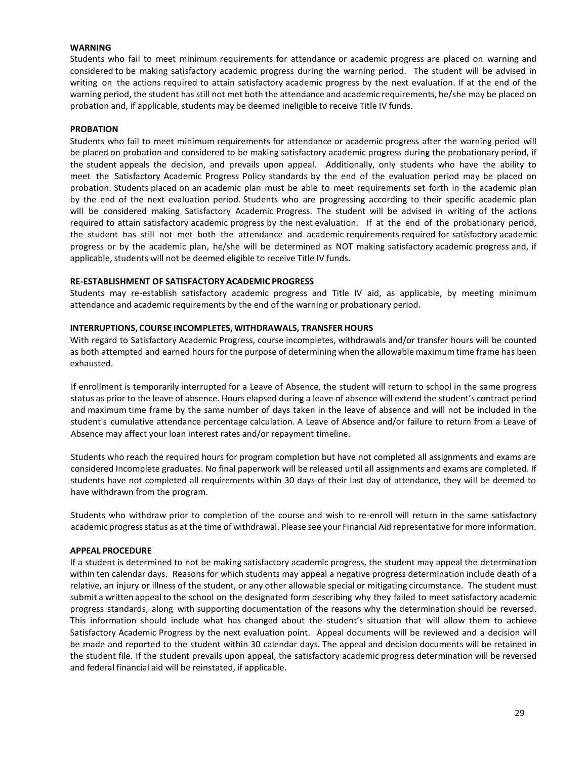## **WARNING**

Students who fail to meet minimum requirements for attendance or academic progress are placed on warning and considered to be making satisfactory academic progress during the warning period. The student will be advised in writing on the actions required to attain satisfactory academic progress by the next evaluation. If at the end of the warning period, the student has still not met both the attendance and academic requirements, he/she may be placed on probation and, if applicable, students may be deemed ineligible to receive Title IV funds.

#### **PROBATION**

Students who fail to meet minimum requirements for attendance or academic progress after the warning period will be placed on probation and considered to be making satisfactory academic progress during the probationary period, if the student appeals the decision, and prevails upon appeal. Additionally, only students who have the ability to meet the Satisfactory Academic Progress Policy standards by the end of the evaluation period may be placed on probation. Students placed on an academic plan must be able to meet requirements set forth in the academic plan by the end of the next evaluation period. Students who are progressing according to their specific academic plan will be considered making Satisfactory Academic Progress. The student will be advised in writing of the actions required to attain satisfactory academic progress by the next evaluation. If at the end of the probationary period, the student has still not met both the attendance and academic requirements required for satisfactory academic progress or by the academic plan, he/she will be determined as NOT making satisfactory academic progress and, if applicable, students will not be deemed eligible to receive Title IV funds.

#### **RE-ESTABLISHMENT OF SATISFACTORY ACADEMIC PROGRESS**

Students may re-establish satisfactory academic progress and Title IV aid, as applicable, by meeting minimum attendance and academic requirements by the end of the warning or probationary period.

#### **INTERRUPTIONS, COURSE INCOMPLETES, WITHDRAWALS, TRANSFER HOURS**

With regard to Satisfactory Academic Progress, course incompletes, withdrawals and/or transfer hours will be counted as both attempted and earned hours for the purpose of determining when the allowable maximum time frame has been exhausted.

If enrollment is temporarily interrupted for a Leave of Absence, the student will return to school in the same progress status as prior to the leave of absence. Hours elapsed during a leave of absence will extend the student's contract period and maximum time frame by the same number of days taken in the leave of absence and will not be included in the student's cumulative attendance percentage calculation. A Leave of Absence and/or failure to return from a Leave of Absence may affect your loan interest rates and/or repayment timeline.

Students who reach the required hours for program completion but have not completed all assignments and exams are considered Incomplete graduates. No final paperwork will be released until all assignments and exams are completed. If students have not completed all requirements within 30 days of their last day of attendance, they will be deemed to have withdrawn from the program.

Students who withdraw prior to completion of the course and wish to re-enroll will return in the same satisfactory academic progress status as at the time of withdrawal. Please see your Financial Aid representative for more information.

#### **APPEAL PROCEDURE**

If a student is determined to not be making satisfactory academic progress, the student may appeal the determination within ten calendar days. Reasons for which students may appeal a negative progress determination include death of a relative, an injury or illness of the student, or any other allowable special or mitigating circumstance. The student must submit a written appeal to the school on the designated form describing why they failed to meet satisfactory academic progress standards, along with supporting documentation of the reasons why the determination should be reversed. This information should include what has changed about the student's situation that will allow them to achieve Satisfactory Academic Progress by the next evaluation point. Appeal documents will be reviewed and a decision will be made and reported to the student within 30 calendar days. The appeal and decision documents will be retained in the student file. If the student prevails upon appeal, the satisfactory academic progress determination will be reversed and federal financial aid will be reinstated, if applicable.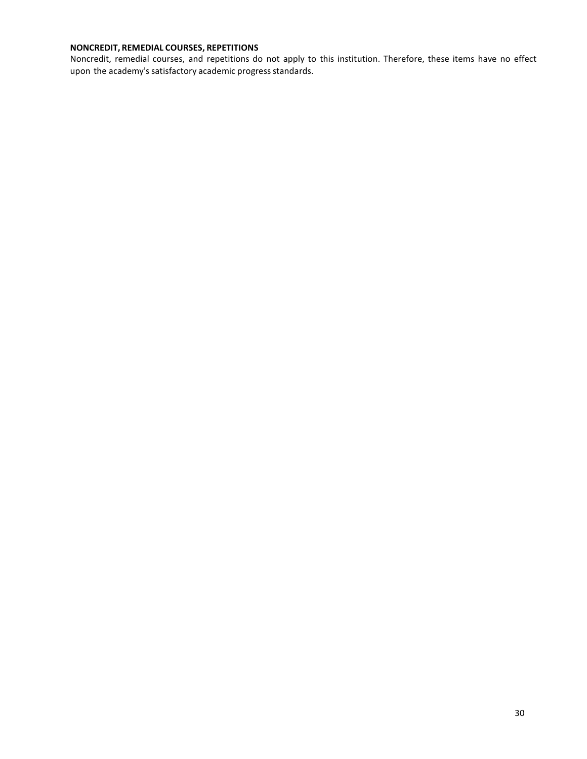# **NONCREDIT, REMEDIAL COURSES, REPETITIONS**

Noncredit, remedial courses, and repetitions do not apply to this institution. Therefore, these items have no effect upon the academy's satisfactory academic progress standards.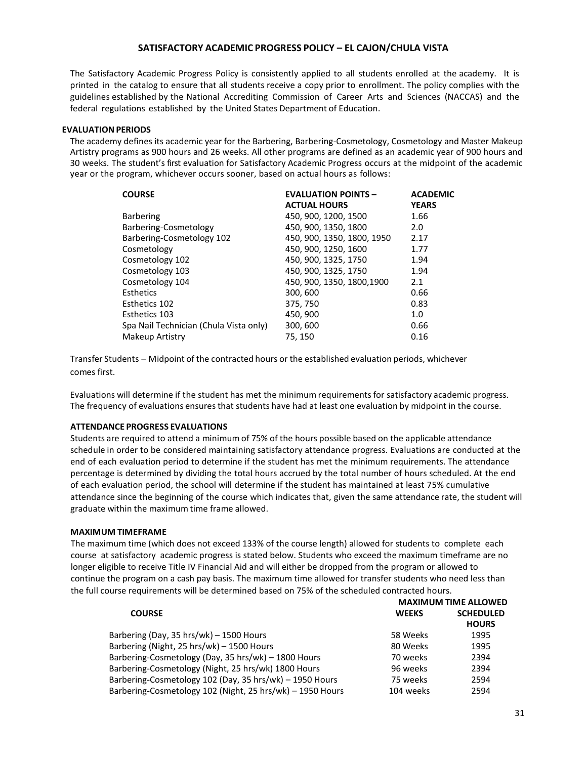## **SATISFACTORY ACADEMIC PROGRESS POLICY – EL CAJON/CHULA VISTA**

<span id="page-30-0"></span>The Satisfactory Academic Progress Policy is consistently applied to all students enrolled at the academy. It is printed in the catalog to ensure that all students receive a copy prior to enrollment. The policy complies with the guidelines established by the National Accrediting Commission of Career Arts and Sciences (NACCAS) and the federal regulations established by the United States Department of Education.

#### **EVALUATION PERIODS**

The academy defines its academic year for the Barbering, Barbering-Cosmetology, Cosmetology and Master Makeup Artistry programs as 900 hours and 26 weeks. All other programs are defined as an academic year of 900 hours and 30 weeks. The student's first evaluation for Satisfactory Academic Progress occurs at the midpoint of the academic year or the program, whichever occurs sooner, based on actual hours as follows:

| <b>COURSE</b>                          | <b>EVALUATION POINTS -</b> | <b>ACADEMIC</b> |
|----------------------------------------|----------------------------|-----------------|
|                                        | <b>ACTUAL HOURS</b>        | <b>YEARS</b>    |
| <b>Barbering</b>                       | 450, 900, 1200, 1500       | 1.66            |
| Barbering-Cosmetology                  | 450, 900, 1350, 1800       | 2.0             |
| Barbering-Cosmetology 102              | 450, 900, 1350, 1800, 1950 | 2.17            |
| Cosmetology                            | 450, 900, 1250, 1600       | 1.77            |
| Cosmetology 102                        | 450, 900, 1325, 1750       | 1.94            |
| Cosmetology 103                        | 450, 900, 1325, 1750       | 1.94            |
| Cosmetology 104                        | 450, 900, 1350, 1800, 1900 | 2.1             |
| <b>Esthetics</b>                       | 300, 600                   | 0.66            |
| Esthetics 102                          | 375, 750                   | 0.83            |
| Esthetics 103                          | 450, 900                   | 1.0             |
| Spa Nail Technician (Chula Vista only) | 300, 600                   | 0.66            |
| <b>Makeup Artistry</b>                 | 75, 150                    | 0.16            |

Transfer Students – Midpoint of the contracted hours or the established evaluation periods, whichever comes first.

Evaluations will determine if the student has met the minimum requirements for satisfactory academic progress. The frequency of evaluations ensures that students have had at least one evaluation by midpoint in the course.

## **ATTENDANCE PROGRESS EVALUATIONS**

Students are required to attend a minimum of 75% of the hours possible based on the applicable attendance schedule in order to be considered maintaining satisfactory attendance progress. Evaluations are conducted at the end of each evaluation period to determine if the student has met the minimum requirements. The attendance percentage is determined by dividing the total hours accrued by the total number of hours scheduled. At the end of each evaluation period, the school will determine if the student has maintained at least 75% cumulative attendance since the beginning of the course which indicates that, given the same attendance rate, the student will graduate within the maximum time frame allowed.

#### **MAXIMUM TIMEFRAME**

The maximum time (which does not exceed 133% of the course length) allowed for students to complete each course at satisfactory academic progress is stated below. Students who exceed the maximum timeframe are no longer eligible to receive Title IV Financial Aid and will either be dropped from the program or allowed to continue the program on a cash pay basis. The maximum time allowed for transfer students who need less than the full course requirements will be determined based on 75% of the scheduled contracted hours.

|                                                           |              | <b>MAXIMUM TIME ALLOWED</b> |
|-----------------------------------------------------------|--------------|-----------------------------|
| <b>COURSE</b>                                             | <b>WEEKS</b> | <b>SCHEDULED</b>            |
|                                                           |              | <b>HOURS</b>                |
| Barbering (Day, 35 hrs/wk) – 1500 Hours                   | 58 Weeks     | 1995                        |
| Barbering (Night, 25 hrs/wk) - 1500 Hours                 | 80 Weeks     | 1995                        |
| Barbering-Cosmetology (Day, 35 hrs/wk) - 1800 Hours       | 70 weeks     | 2394                        |
| Barbering-Cosmetology (Night, 25 hrs/wk) 1800 Hours       | 96 weeks     | 2394                        |
| Barbering-Cosmetology 102 (Day, 35 hrs/wk) - 1950 Hours   | 75 weeks     | 2594                        |
| Barbering-Cosmetology 102 (Night, 25 hrs/wk) - 1950 Hours | 104 weeks    | 2594                        |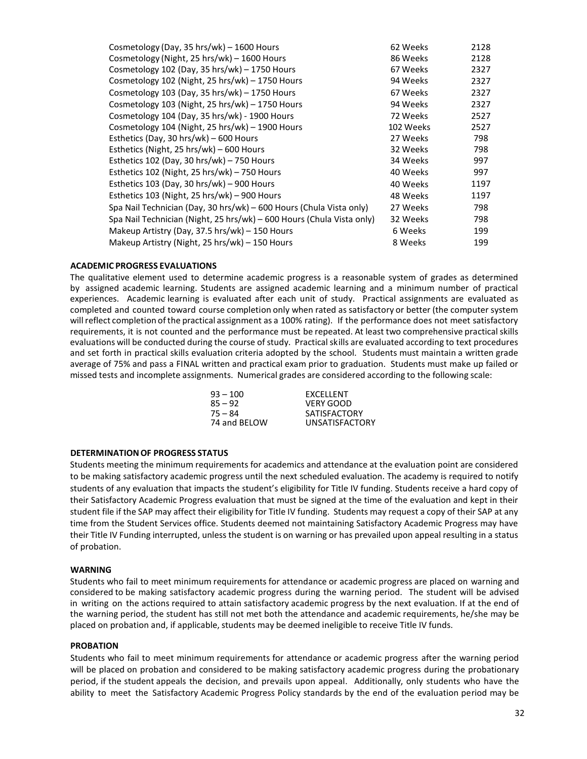| Cosmetology (Day, 35 hrs/wk) - 1600 Hours                             | 62 Weeks  | 2128 |
|-----------------------------------------------------------------------|-----------|------|
| Cosmetology (Night, 25 hrs/wk) - 1600 Hours                           | 86 Weeks  | 2128 |
| Cosmetology 102 (Day, 35 hrs/wk) - 1750 Hours                         | 67 Weeks  | 2327 |
| Cosmetology 102 (Night, 25 hrs/wk) – 1750 Hours                       | 94 Weeks  | 2327 |
| Cosmetology 103 (Day, 35 hrs/wk) - 1750 Hours                         | 67 Weeks  | 2327 |
| Cosmetology 103 (Night, 25 hrs/wk) - 1750 Hours                       | 94 Weeks  | 2327 |
| Cosmetology 104 (Day, 35 hrs/wk) - 1900 Hours                         | 72 Weeks  | 2527 |
| Cosmetology 104 (Night, 25 hrs/wk) - 1900 Hours                       | 102 Weeks | 2527 |
| Esthetics (Day, 30 hrs/wk) - 600 Hours                                | 27 Weeks  | 798  |
| Esthetics (Night, 25 hrs/wk) – 600 Hours                              | 32 Weeks  | 798  |
| Esthetics 102 (Day, 30 hrs/wk) $-750$ Hours                           | 34 Weeks  | 997  |
| Esthetics 102 (Night, 25 hrs/wk) - 750 Hours                          | 40 Weeks  | 997  |
| Esthetics 103 (Day, 30 hrs/wk) $-$ 900 Hours                          | 40 Weeks  | 1197 |
| Esthetics 103 (Night, 25 hrs/wk) – 900 Hours                          | 48 Weeks  | 1197 |
| Spa Nail Technician (Day, 30 hrs/wk) - 600 Hours (Chula Vista only)   | 27 Weeks  | 798  |
| Spa Nail Technician (Night, 25 hrs/wk) - 600 Hours (Chula Vista only) | 32 Weeks  | 798  |
| Makeup Artistry (Day, 37.5 hrs/wk) – 150 Hours                        | 6 Weeks   | 199  |
| Makeup Artistry (Night, 25 hrs/wk) - 150 Hours                        | 8 Weeks   | 199  |

#### **ACADEMIC PROGRESS EVALUATIONS**

The qualitative element used to determine academic progress is a reasonable system of grades as determined by assigned academic learning. Students are assigned academic learning and a minimum number of practical experiences. Academic learning is evaluated after each unit of study. Practical assignments are evaluated as completed and counted toward course completion only when rated as satisfactory or better (the computer system will reflect completion of the practical assignment as a 100% rating). If the performance does not meet satisfactory requirements, it is not counted and the performance must be repeated. At least two comprehensive practical skills evaluations will be conducted during the course of study. Practical skills are evaluated according to text procedures and set forth in practical skills evaluation criteria adopted by the school. Students must maintain a written grade average of 75% and pass a FINAL written and practical exam prior to graduation. Students must make up failed or missed tests and incomplete assignments. Numerical grades are considered according to the following scale:

| $93 - 100$   | <b>FXCELLENT</b>      |
|--------------|-----------------------|
| $85 - 92$    | VFRY GOOD             |
| $75 - 84$    | <b>SATISFACTORY</b>   |
| 74 and BELOW | <b>UNSATISFACTORY</b> |

#### **DETERMINATION OF PROGRESS STATUS**

Students meeting the minimum requirements for academics and attendance at the evaluation point are considered to be making satisfactory academic progress until the next scheduled evaluation. The academy is required to notify students of any evaluation that impacts the student's eligibility for Title IV funding. Students receive a hard copy of their Satisfactory Academic Progress evaluation that must be signed at the time of the evaluation and kept in their student file if the SAP may affect their eligibility for Title IV funding. Students may request a copy of their SAP at any time from the Student Services office. Students deemed not maintaining Satisfactory Academic Progress may have their Title IV Funding interrupted, unless the student is on warning or has prevailed upon appeal resulting in a status of probation.

#### **WARNING**

Students who fail to meet minimum requirements for attendance or academic progress are placed on warning and considered to be making satisfactory academic progress during the warning period. The student will be advised in writing on the actions required to attain satisfactory academic progress by the next evaluation. If at the end of the warning period, the student has still not met both the attendance and academic requirements, he/she may be placed on probation and, if applicable, students may be deemed ineligible to receive Title IV funds.

#### **PROBATION**

Students who fail to meet minimum requirements for attendance or academic progress after the warning period will be placed on probation and considered to be making satisfactory academic progress during the probationary period, if the student appeals the decision, and prevails upon appeal. Additionally, only students who have the ability to meet the Satisfactory Academic Progress Policy standards by the end of the evaluation period may be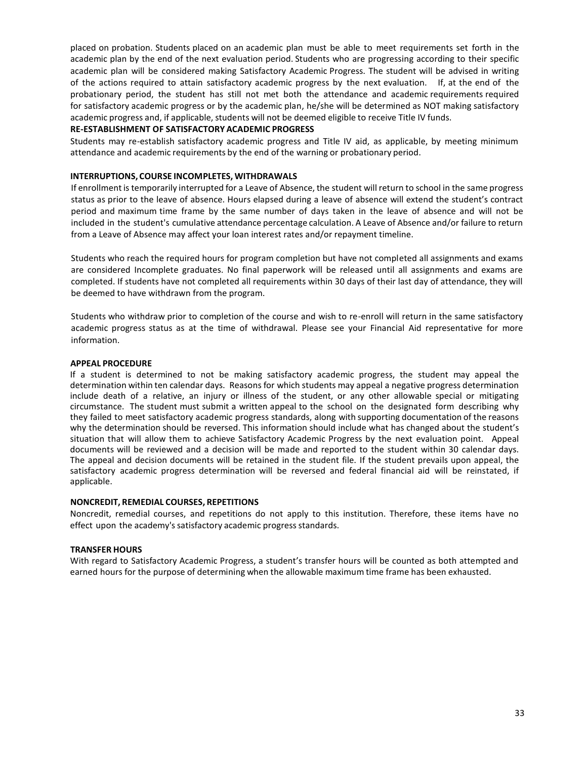placed on probation. Students placed on an academic plan must be able to meet requirements set forth in the academic plan by the end of the next evaluation period. Students who are progressing according to their specific academic plan will be considered making Satisfactory Academic Progress. The student will be advised in writing of the actions required to attain satisfactory academic progress by the next evaluation. If, at the end of the probationary period, the student has still not met both the attendance and academic requirements required for satisfactory academic progress or by the academic plan, he/she will be determined as NOT making satisfactory academic progress and, if applicable, students will not be deemed eligible to receive Title IV funds.

## **RE-ESTABLISHMENT OF SATISFACTORY ACADEMIC PROGRESS**

Students may re-establish satisfactory academic progress and Title IV aid, as applicable, by meeting minimum attendance and academic requirements by the end of the warning or probationary period.

#### **INTERRUPTIONS, COURSE INCOMPLETES, WITHDRAWALS**

If enrollment is temporarily interrupted for a Leave of Absence, the student will return to school in the same progress status as prior to the leave of absence. Hours elapsed during a leave of absence will extend the student's contract period and maximum time frame by the same number of days taken in the leave of absence and will not be included in the student's cumulative attendance percentage calculation. A Leave of Absence and/or failure to return from a Leave of Absence may affect your loan interest rates and/or repayment timeline.

Students who reach the required hours for program completion but have not completed all assignments and exams are considered Incomplete graduates. No final paperwork will be released until all assignments and exams are completed. If students have not completed all requirements within 30 days of their last day of attendance, they will be deemed to have withdrawn from the program.

Students who withdraw prior to completion of the course and wish to re-enroll will return in the same satisfactory academic progress status as at the time of withdrawal. Please see your Financial Aid representative for more information.

#### **APPEAL PROCEDURE**

If a student is determined to not be making satisfactory academic progress, the student may appeal the determination within ten calendar days. Reasons for which students may appeal a negative progress determination include death of a relative, an injury or illness of the student, or any other allowable special or mitigating circumstance. The student must submit a written appeal to the school on the designated form describing why they failed to meet satisfactory academic progress standards, along with supporting documentation of the reasons why the determination should be reversed. This information should include what has changed about the student's situation that will allow them to achieve Satisfactory Academic Progress by the next evaluation point. Appeal documents will be reviewed and a decision will be made and reported to the student within 30 calendar days. The appeal and decision documents will be retained in the student file. If the student prevails upon appeal, the satisfactory academic progress determination will be reversed and federal financial aid will be reinstated, if applicable.

#### **NONCREDIT, REMEDIAL COURSES, REPETITIONS**

Noncredit, remedial courses, and repetitions do not apply to this institution. Therefore, these items have no effect upon the academy's satisfactory academic progress standards.

#### **TRANSFER HOURS**

With regard to Satisfactory Academic Progress, a student's transfer hours will be counted as both attempted and earned hours for the purpose of determining when the allowable maximum time frame has been exhausted.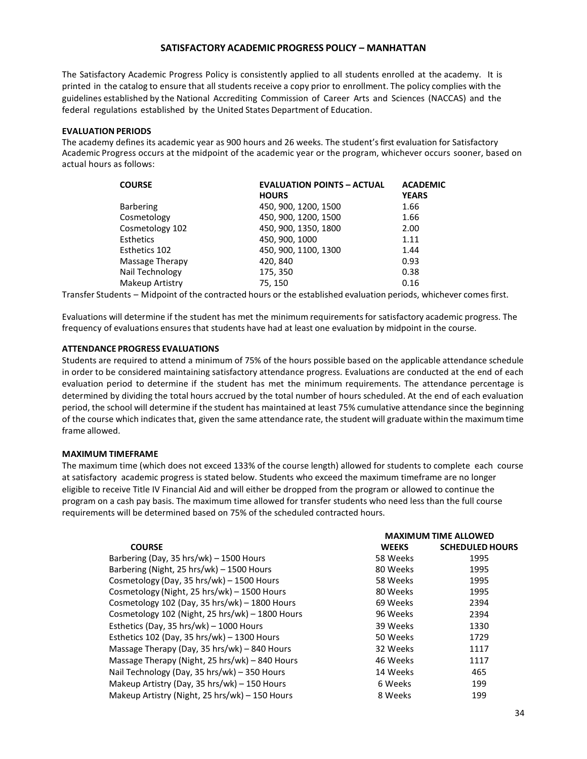#### **SATISFACTORY ACADEMIC PROGRESS POLICY – MANHATTAN**

<span id="page-33-0"></span>The Satisfactory Academic Progress Policy is consistently applied to all students enrolled at the academy. It is printed in the catalog to ensure that all students receive a copy prior to enrollment. The policy complies with the guidelines established by the National Accrediting Commission of Career Arts and Sciences (NACCAS) and the federal regulations established by the United States Department of Education.

#### **EVALUATION PERIODS**

The academy defines its academic year as 900 hours and 26 weeks. The student's first evaluation for Satisfactory Academic Progress occurs at the midpoint of the academic year or the program, whichever occurs sooner, based on actual hours as follows:

| <b>COURSE</b>    | <b>EVALUATION POINTS - ACTUAL</b> | <b>ACADEMIC</b> |
|------------------|-----------------------------------|-----------------|
|                  | <b>HOURS</b>                      | <b>YEARS</b>    |
| <b>Barbering</b> | 450, 900, 1200, 1500              | 1.66            |
| Cosmetology      | 450, 900, 1200, 1500              | 1.66            |
| Cosmetology 102  | 450, 900, 1350, 1800              | 2.00            |
| <b>Esthetics</b> | 450, 900, 1000                    | 1.11            |
| Esthetics 102    | 450, 900, 1100, 1300              | 1.44            |
| Massage Therapy  | 420, 840                          | 0.93            |
| Nail Technology  | 175, 350                          | 0.38            |
| Makeup Artistry  | 75, 150                           | 0.16            |

Transfer Students – Midpoint of the contracted hours or the established evaluation periods, whichever comes first.

Evaluations will determine if the student has met the minimum requirements for satisfactory academic progress. The frequency of evaluations ensures that students have had at least one evaluation by midpoint in the course.

#### **ATTENDANCE PROGRESS EVALUATIONS**

Students are required to attend a minimum of 75% of the hours possible based on the applicable attendance schedule in order to be considered maintaining satisfactory attendance progress. Evaluations are conducted at the end of each evaluation period to determine if the student has met the minimum requirements. The attendance percentage is determined by dividing the total hours accrued by the total number of hours scheduled. At the end of each evaluation period, the school will determine if the student has maintained at least 75% cumulative attendance since the beginning of the course which indicates that, given the same attendance rate, the student will graduate within the maximum time frame allowed.

#### **MAXIMUM TIMEFRAME**

The maximum time (which does not exceed 133% of the course length) allowed for students to complete each course at satisfactory academic progress is stated below. Students who exceed the maximum timeframe are no longer eligible to receive Title IV Financial Aid and will either be dropped from the program or allowed to continue the program on a cash pay basis. The maximum time allowed for transfer students who need less than the full course requirements will be determined based on 75% of the scheduled contracted hours.

|                                                 | <b>MAXIMUM TIME ALLOWED</b> |                        |
|-------------------------------------------------|-----------------------------|------------------------|
| <b>COURSE</b>                                   | <b>WEEKS</b>                | <b>SCHEDULED HOURS</b> |
| Barbering (Day, 35 hrs/wk) – 1500 Hours         | 58 Weeks                    | 1995                   |
| Barbering (Night, 25 hrs/wk) - 1500 Hours       | 80 Weeks                    | 1995                   |
| Cosmetology (Day, 35 hrs/wk) - 1500 Hours       | 58 Weeks                    | 1995                   |
| Cosmetology (Night, 25 hrs/wk) - 1500 Hours     | 80 Weeks                    | 1995                   |
| Cosmetology 102 (Day, 35 hrs/wk) - 1800 Hours   | 69 Weeks                    | 2394                   |
| Cosmetology 102 (Night, 25 hrs/wk) - 1800 Hours | 96 Weeks                    | 2394                   |
| Esthetics (Day, 35 hrs/wk) $-$ 1000 Hours       | 39 Weeks                    | 1330                   |
| Esthetics 102 (Day, 35 hrs/wk) $-$ 1300 Hours   | 50 Weeks                    | 1729                   |
| Massage Therapy (Day, 35 hrs/wk) - 840 Hours    | 32 Weeks                    | 1117                   |
| Massage Therapy (Night, 25 hrs/wk) – 840 Hours  | 46 Weeks                    | 1117                   |
| Nail Technology (Day, 35 hrs/wk) - 350 Hours    | 14 Weeks                    | 465                    |
| Makeup Artistry (Day, 35 hrs/wk) - 150 Hours    | 6 Weeks                     | 199                    |
| Makeup Artistry (Night, 25 hrs/wk) – 150 Hours  | 8 Weeks                     | 199                    |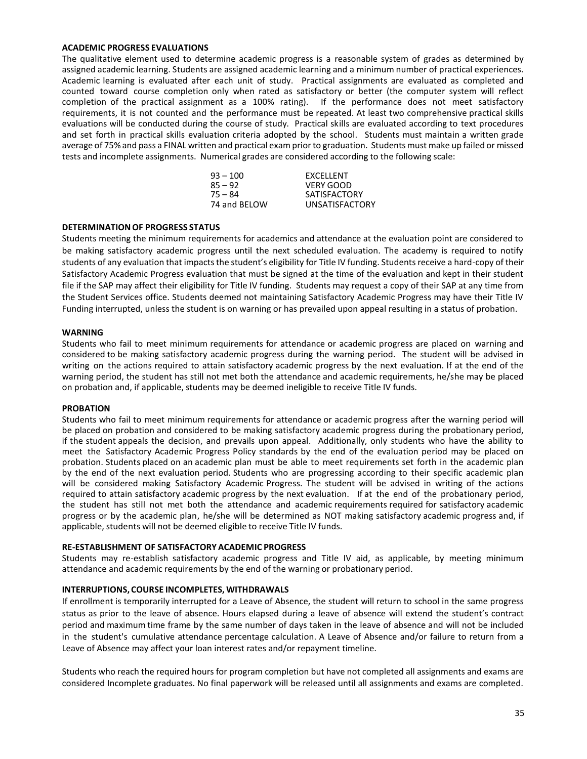#### **ACADEMIC PROGRESS EVALUATIONS**

The qualitative element used to determine academic progress is a reasonable system of grades as determined by assigned academic learning. Students are assigned academic learning and a minimum number of practical experiences. Academic learning is evaluated after each unit of study. Practical assignments are evaluated as completed and counted toward course completion only when rated as satisfactory or better (the computer system will reflect completion of the practical assignment as a 100% rating). If the performance does not meet satisfactory requirements, it is not counted and the performance must be repeated. At least two comprehensive practical skills evaluations will be conducted during the course of study. Practical skills are evaluated according to text procedures and set forth in practical skills evaluation criteria adopted by the school. Students must maintain a written grade average of 75% and pass a FINAL written and practical exam prior to graduation. Students must make up failed or missed tests and incomplete assignments. Numerical grades are considered according to the following scale:

| $93 - 100$   | <b>FXCELLENT</b>      |
|--------------|-----------------------|
| $85 - 92$    | <b>VERY GOOD</b>      |
| $75 - 84$    | <b>SATISFACTORY</b>   |
| 74 and BELOW | <b>UNSATISFACTORY</b> |

#### **DETERMINATION OF PROGRESS STATUS**

Students meeting the minimum requirements for academics and attendance at the evaluation point are considered to be making satisfactory academic progress until the next scheduled evaluation. The academy is required to notify students of any evaluation that impacts the student's eligibility for Title IV funding. Students receive a hard-copy of their Satisfactory Academic Progress evaluation that must be signed at the time of the evaluation and kept in their student file if the SAP may affect their eligibility for Title IV funding. Students may request a copy of their SAP at any time from the Student Services office. Students deemed not maintaining Satisfactory Academic Progress may have their Title IV Funding interrupted, unless the student is on warning or has prevailed upon appeal resulting in a status of probation.

#### **WARNING**

Students who fail to meet minimum requirements for attendance or academic progress are placed on warning and considered to be making satisfactory academic progress during the warning period. The student will be advised in writing on the actions required to attain satisfactory academic progress by the next evaluation. If at the end of the warning period, the student has still not met both the attendance and academic requirements, he/she may be placed on probation and, if applicable, students may be deemed ineligible to receive Title IV funds.

#### **PROBATION**

Students who fail to meet minimum requirements for attendance or academic progress after the warning period will be placed on probation and considered to be making satisfactory academic progress during the probationary period, if the student appeals the decision, and prevails upon appeal. Additionally, only students who have the ability to meet the Satisfactory Academic Progress Policy standards by the end of the evaluation period may be placed on probation. Students placed on an academic plan must be able to meet requirements set forth in the academic plan by the end of the next evaluation period. Students who are progressing according to their specific academic plan will be considered making Satisfactory Academic Progress. The student will be advised in writing of the actions required to attain satisfactory academic progress by the next evaluation. If at the end of the probationary period, the student has still not met both the attendance and academic requirements required for satisfactory academic progress or by the academic plan, he/she will be determined as NOT making satisfactory academic progress and, if applicable, students will not be deemed eligible to receive Title IV funds.

#### **RE-ESTABLISHMENT OF SATISFACTORY ACADEMIC PROGRESS**

Students may re-establish satisfactory academic progress and Title IV aid, as applicable, by meeting minimum attendance and academic requirements by the end of the warning or probationary period.

#### **INTERRUPTIONS, COURSE INCOMPLETES, WITHDRAWALS**

If enrollment is temporarily interrupted for a Leave of Absence, the student will return to school in the same progress status as prior to the leave of absence. Hours elapsed during a leave of absence will extend the student's contract period and maximum time frame by the same number of days taken in the leave of absence and will not be included in the student's cumulative attendance percentage calculation. A Leave of Absence and/or failure to return from a Leave of Absence may affect your loan interest rates and/or repayment timeline.

Students who reach the required hours for program completion but have not completed all assignments and exams are considered Incomplete graduates. No final paperwork will be released until all assignments and exams are completed.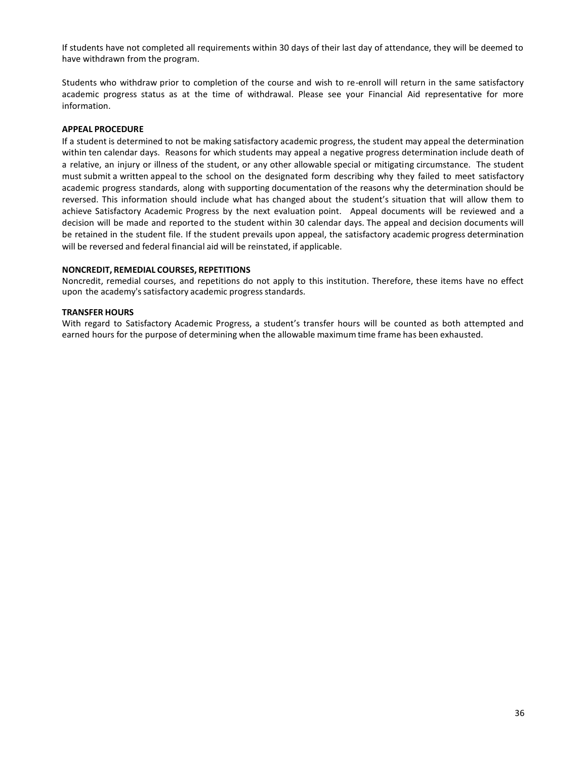If students have not completed all requirements within 30 days of their last day of attendance, they will be deemed to have withdrawn from the program.

Students who withdraw prior to completion of the course and wish to re-enroll will return in the same satisfactory academic progress status as at the time of withdrawal. Please see your Financial Aid representative for more information.

#### **APPEAL PROCEDURE**

If a student is determined to not be making satisfactory academic progress, the student may appeal the determination within ten calendar days. Reasons for which students may appeal a negative progress determination include death of a relative, an injury or illness of the student, or any other allowable special or mitigating circumstance. The student must submit a written appeal to the school on the designated form describing why they failed to meet satisfactory academic progress standards, along with supporting documentation of the reasons why the determination should be reversed. This information should include what has changed about the student's situation that will allow them to achieve Satisfactory Academic Progress by the next evaluation point. Appeal documents will be reviewed and a decision will be made and reported to the student within 30 calendar days. The appeal and decision documents will be retained in the student file. If the student prevails upon appeal, the satisfactory academic progress determination will be reversed and federal financial aid will be reinstated, if applicable.

#### **NONCREDIT, REMEDIAL COURSES, REPETITIONS**

Noncredit, remedial courses, and repetitions do not apply to this institution. Therefore, these items have no effect upon the academy's satisfactory academic progress standards.

#### **TRANSFER HOURS**

With regard to Satisfactory Academic Progress, a student's transfer hours will be counted as both attempted and earned hours for the purpose of determining when the allowable maximum time frame has been exhausted.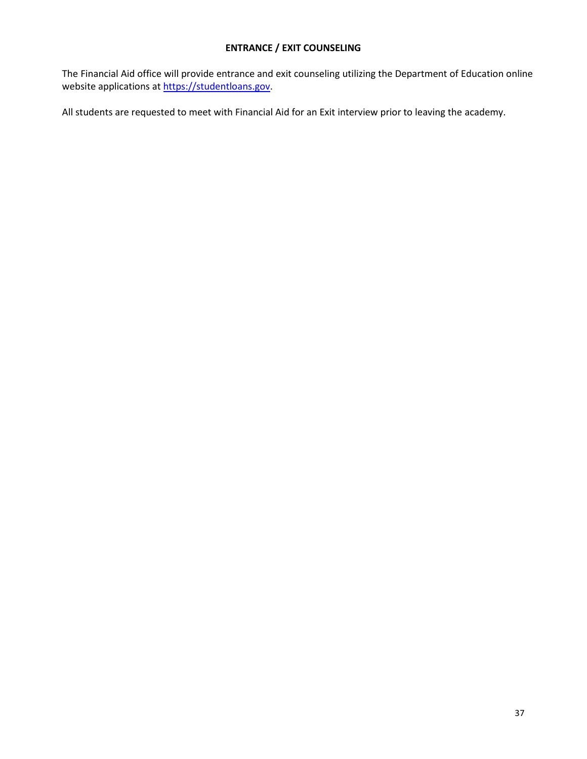# **ENTRANCE / EXIT COUNSELING**

<span id="page-36-0"></span>The Financial Aid office will provide entrance and exit counseling utilizing the Department of Education online website applications at [https://studentloans.gov.](https://studentloans.gov/myDirectLoan/index.action)

All students are requested to meet with Financial Aid for an Exit interview prior to leaving the academy.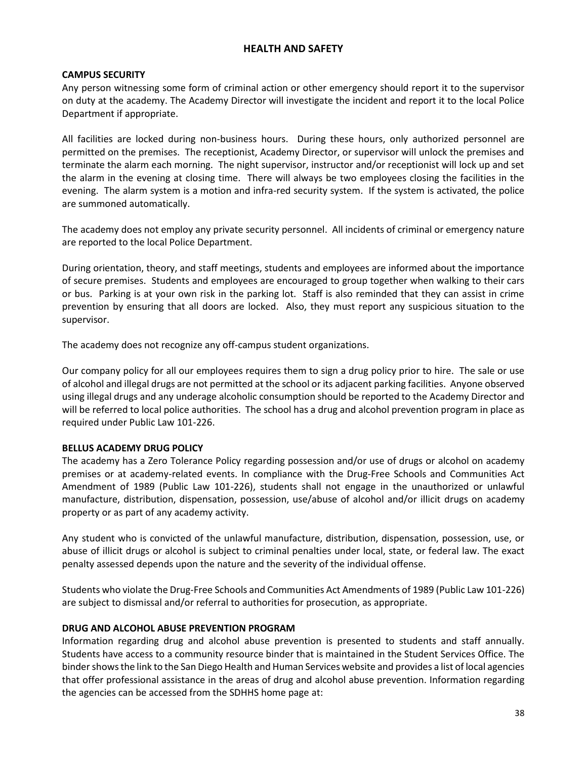# **HEALTH AND SAFETY**

# <span id="page-37-1"></span><span id="page-37-0"></span>**CAMPUS SECURITY**

Any person witnessing some form of criminal action or other emergency should report it to the supervisor on duty at the academy. The Academy Director will investigate the incident and report it to the local Police Department if appropriate.

All facilities are locked during non-business hours. During these hours, only authorized personnel are permitted on the premises. The receptionist, Academy Director, or supervisor will unlock the premises and terminate the alarm each morning. The night supervisor, instructor and/or receptionist will lock up and set the alarm in the evening at closing time. There will always be two employees closing the facilities in the evening. The alarm system is a motion and infra-red security system. If the system is activated, the police are summoned automatically.

The academy does not employ any private security personnel. All incidents of criminal or emergency nature are reported to the local Police Department.

During orientation, theory, and staff meetings, students and employees are informed about the importance of secure premises. Students and employees are encouraged to group together when walking to their cars or bus. Parking is at your own risk in the parking lot. Staff is also reminded that they can assist in crime prevention by ensuring that all doors are locked. Also, they must report any suspicious situation to the supervisor.

The academy does not recognize any off-campus student organizations.

Our company policy for all our employees requires them to sign a drug policy prior to hire. The sale or use of alcohol and illegal drugs are not permitted at the school or its adjacent parking facilities. Anyone observed using illegal drugs and any underage alcoholic consumption should be reported to the Academy Director and will be referred to local police authorities. The school has a drug and alcohol prevention program in place as required under Public Law 101-226.

# <span id="page-37-2"></span>**BELLUS ACADEMY DRUG POLICY**

The academy has a Zero Tolerance Policy regarding possession and/or use of drugs or alcohol on academy premises or at academy-related events. In compliance with the Drug-Free Schools and Communities Act Amendment of 1989 (Public Law 101-226), students shall not engage in the unauthorized or unlawful manufacture, distribution, dispensation, possession, use/abuse of alcohol and/or illicit drugs on academy property or as part of any academy activity.

Any student who is convicted of the unlawful manufacture, distribution, dispensation, possession, use, or abuse of illicit drugs or alcohol is subject to criminal penalties under local, state, or federal law. The exact penalty assessed depends upon the nature and the severity of the individual offense.

Students who violate the Drug-Free Schools and Communities Act Amendments of 1989 (Public Law 101-226) are subject to dismissal and/or referral to authorities for prosecution, as appropriate.

# <span id="page-37-3"></span>**DRUG AND ALCOHOL ABUSE PREVENTION PROGRAM**

Information regarding drug and alcohol abuse prevention is presented to students and staff annually. Students have access to a community resource binder that is maintained in the Student Services Office. The binder shows the link to the San Diego Health and Human Services website and provides a list of local agencies that offer professional assistance in the areas of drug and alcohol abuse prevention. Information regarding the agencies can be accessed from the SDHHS home page at: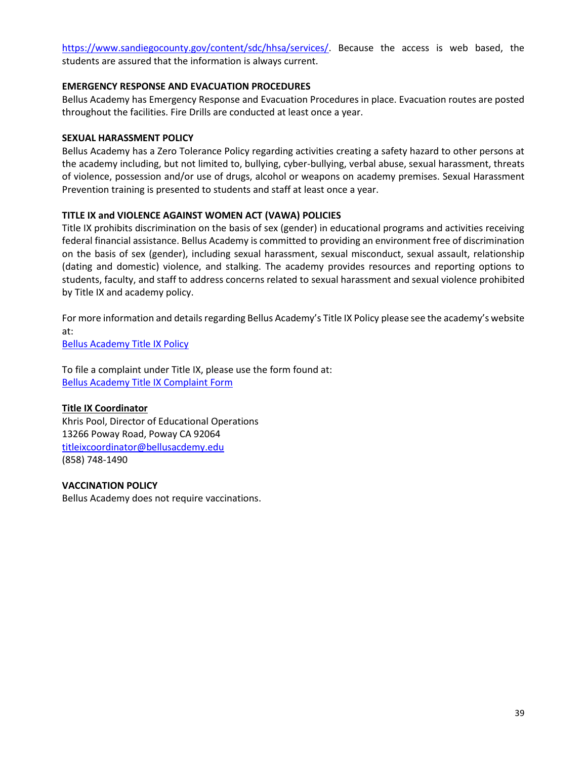[https://www.sandiegocounty.gov/content/sdc/hhsa/services/.](https://www.sandiegocounty.gov/content/sdc/hhsa/services/) Because the access is web based, the students are assured that the information is always current.

# <span id="page-38-0"></span>**EMERGENCY RESPONSE AND EVACUATION PROCEDURES**

Bellus Academy has Emergency Response and Evacuation Procedures in place. Evacuation routes are posted throughout the facilities. Fire Drills are conducted at least once a year.

# <span id="page-38-1"></span>**SEXUAL HARASSMENT POLICY**

Bellus Academy has a Zero Tolerance Policy regarding activities creating a safety hazard to other persons at the academy including, but not limited to, bullying, cyber-bullying, verbal abuse, sexual harassment, threats of violence, possession and/or use of drugs, alcohol or weapons on academy premises. Sexual Harassment Prevention training is presented to students and staff at least once a year.

# <span id="page-38-2"></span>**TITLE IX and VIOLENCE AGAINST WOMEN ACT (VAWA) POLICIES**

Title IX prohibits discrimination on the basis of sex (gender) in educational programs and activities receiving federal financial assistance. Bellus Academy is committed to providing an environment free of discrimination on the basis of sex (gender), including sexual harassment, sexual misconduct, sexual assault, relationship (dating and domestic) violence, and stalking. The academy provides resources and reporting options to students, faculty, and staff to address concerns related to sexual harassment and sexual violence prohibited by Title IX and academy policy.

For more information and details regarding Bellus Academy's Title IX Policy please see the academy's website at:

[Bellus Academy Title IX Policy](https://www.bellusacademy.edu/wp-content/uploads/2020/10/2020-Campus-Security-and-Title-IX-Policy-rvsd-08-2020.pdf)

To file a complaint under Title IX, please use the form found at: [Bellus Academy Title IX Complaint Form](https://www.bellusacademy.edu/wp-content/uploads/2021/04/Title-IX-Complaint-Form.pdf)

# **Title IX Coordinator**

Khris Pool, Director of Educational Operations 13266 Poway Road, Poway CA 92064 [titleixcoordinator@bellusacdemy.edu](mailto:titleixcoordinator@bellusacdemy.edu) (858) 748-1490

# <span id="page-38-3"></span>**VACCINATION POLICY**

Bellus Academy does not require vaccinations.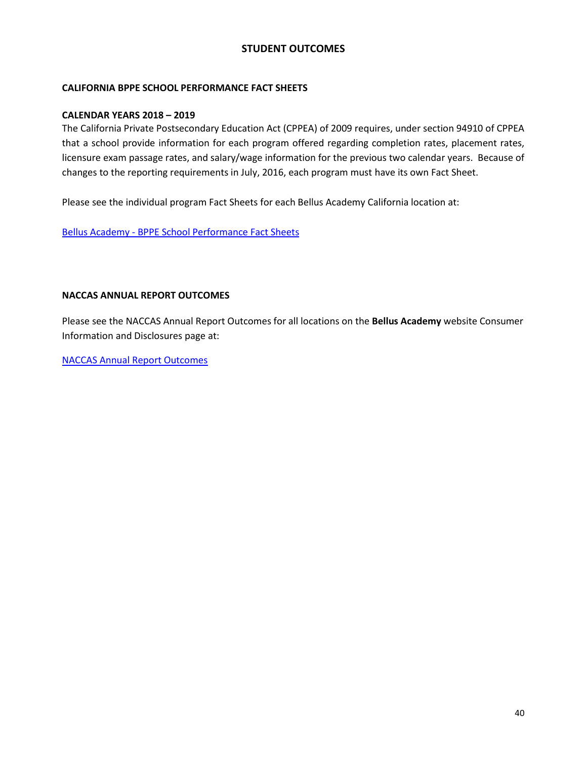# **STUDENT OUTCOMES**

# <span id="page-39-1"></span><span id="page-39-0"></span>**CALIFORNIA BPPE SCHOOL PERFORMANCE FACT SHEETS**

## **CALENDAR YEARS 2018 – 2019**

The California Private Postsecondary Education Act (CPPEA) of 2009 requires, under section 94910 of CPPEA that a school provide information for each program offered regarding completion rates, placement rates, licensure exam passage rates, and salary/wage information for the previous two calendar years. Because of changes to the reporting requirements in July, 2016, each program must have its own Fact Sheet.

Please see the individual program Fact Sheets for each Bellus Academy California location at:

[Bellus Academy - BPPE School Performance Fact Sheets](http://www.bellusacademy.edu/about/consumer-information-disclosures/)

## <span id="page-39-2"></span>**NACCAS ANNUAL REPORT OUTCOMES**

Please see the NACCAS Annual Report Outcomes for all locations on the **Bellus Academy** website Consumer Information and Disclosures page at:

[NACCAS Annual Report Outcomes](http://www.bellusacademy.edu/about/consumer-information-disclosures/)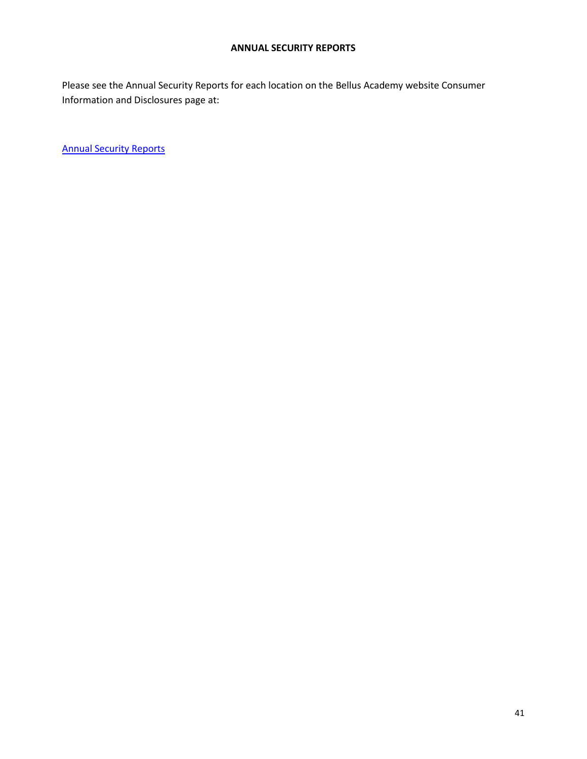# **ANNUAL SECURITY REPORTS**

<span id="page-40-0"></span>Please see the Annual Security Reports for each location on the Bellus Academy website Consumer Information and Disclosures page at:

[Annual Security Reports](http://www.bellusacademy.edu/about/consumer-information-disclosures/)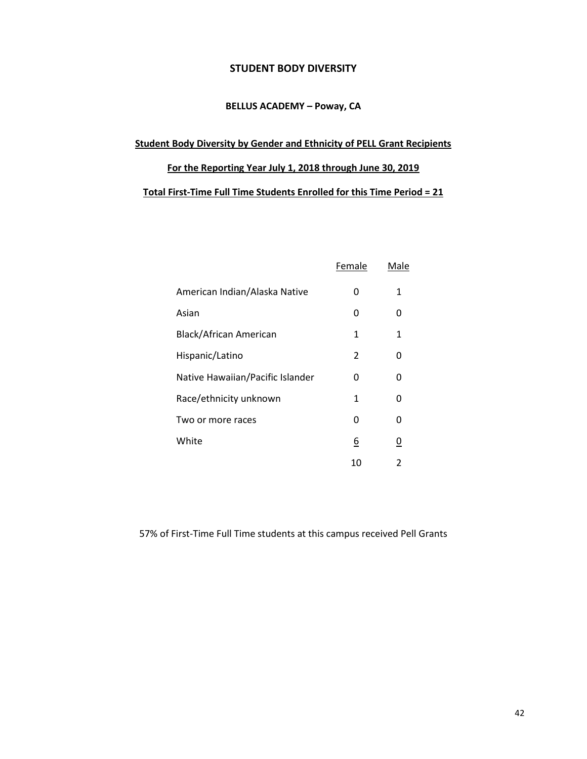# **STUDENT BODY DIVERSITY**

# **BELLUS ACADEMY – Poway, CA**

# <span id="page-41-1"></span><span id="page-41-0"></span>**Student Body Diversity by Gender and Ethnicity of PELL Grant Recipients**

# **For the Reporting Year July 1, 2018 through June 30, 2019**

# **Total First-Time Full Time Students Enrolled for this Time Period = 21**

|                                  | Female   | Male |
|----------------------------------|----------|------|
| American Indian/Alaska Native    | 0        | 1    |
| Asian                            | O        | 0    |
| Black/African American           | 1        | 1    |
| Hispanic/Latino                  | 2        | 0    |
| Native Hawaiian/Pacific Islander | O        | 0    |
| Race/ethnicity unknown           | 1        | 0    |
| Two or more races                | ŋ        | O    |
| White                            | <u>6</u> | 0    |
|                                  | 10       | 2    |

57% of First-Time Full Time students at this campus received Pell Grants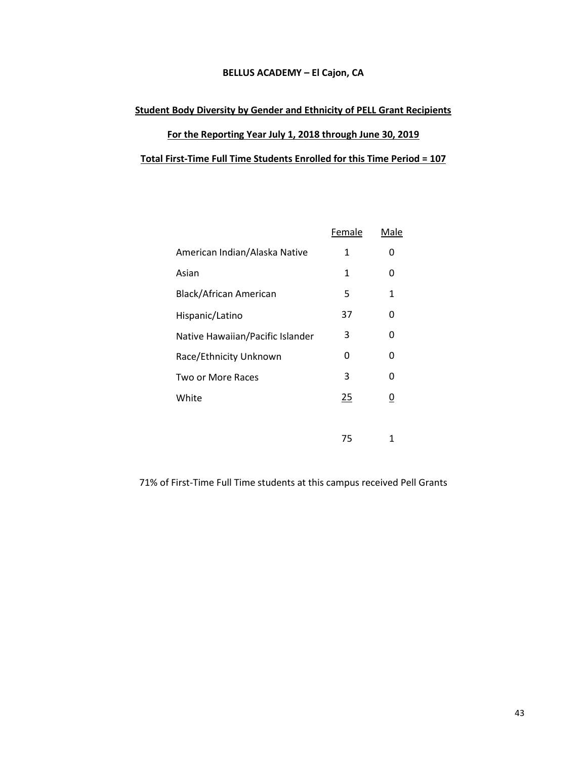# **BELLUS ACADEMY – El Cajon, CA**

# <span id="page-42-0"></span>**Student Body Diversity by Gender and Ethnicity of PELL Grant Recipients**

# **For the Reporting Year July 1, 2018 through June 30, 2019**

# **Total First-Time Full Time Students Enrolled for this Time Period = 107**

|                                  | Female | Male |
|----------------------------------|--------|------|
| American Indian/Alaska Native    | 1      | 0    |
| Asian                            | 1      | 0    |
| Black/African American           | 5      | 1    |
| Hispanic/Latino                  | 37     | 0    |
| Native Hawaiian/Pacific Islander | 3      | ŋ    |
| Race/Ethnicity Unknown           | 0      | 0    |
| Two or More Races                | 3      | 0    |
| White                            | 25     | 0    |
|                                  |        |      |

75 1

71% of First-Time Full Time students at this campus received Pell Grants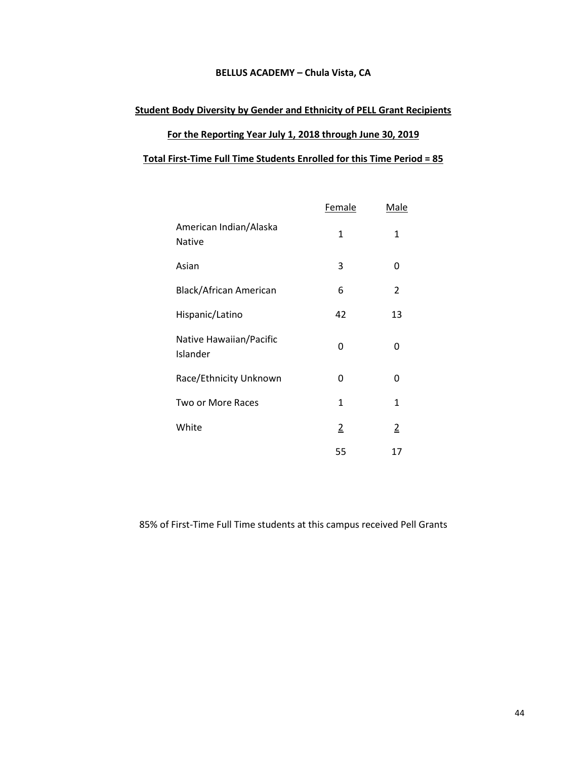## **BELLUS ACADEMY – Chula Vista, CA**

## <span id="page-43-0"></span>**Student Body Diversity by Gender and Ethnicity of PELL Grant Recipients**

## **For the Reporting Year July 1, 2018 through June 30, 2019**

# **Total First-Time Full Time Students Enrolled for this Time Period = 85**

|                                         | <b>Female</b>  | Male           |
|-----------------------------------------|----------------|----------------|
| American Indian/Alaska<br><b>Native</b> | 1              | 1              |
| Asian                                   | 3              | 0              |
| Black/African American                  | 6              | 2              |
| Hispanic/Latino                         | 42             | 13             |
| Native Hawaiian/Pacific<br>Islander     | 0              | 0              |
| Race/Ethnicity Unknown                  | 0              | 0              |
| Two or More Races                       | 1              | 1              |
| White                                   | $\overline{2}$ | $\overline{2}$ |
|                                         | 55             | 17             |

85% of First-Time Full Time students at this campus received Pell Grants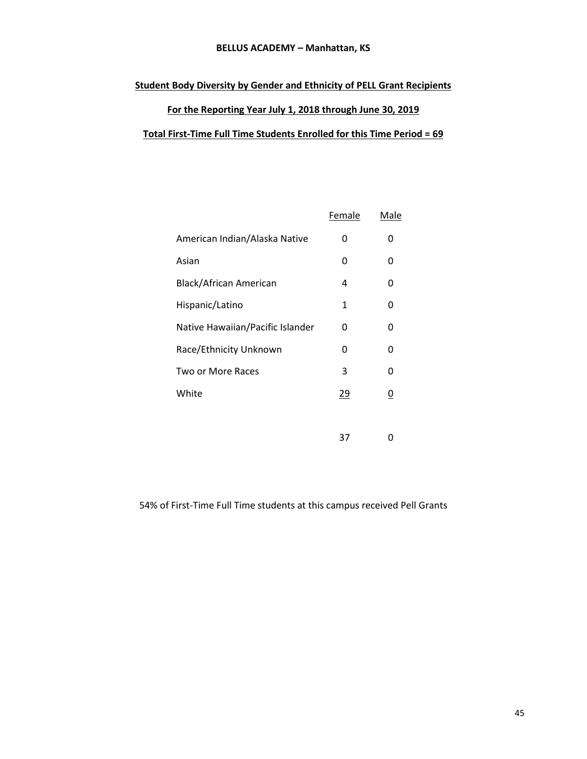# **BELLUS ACADEMY – Manhattan, KS**

# <span id="page-44-0"></span>**Student Body Diversity by Gender and Ethnicity of PELL Grant Recipients**

# **For the Reporting Year July 1, 2018 through June 30, 2019**

# **Total First-Time Full Time Students Enrolled for this Time Period = 69**

|                                  | Female | Male |
|----------------------------------|--------|------|
| American Indian/Alaska Native    | O      | O    |
| Asian                            | O      | ŋ    |
| Black/African American           | 4      | ŋ    |
| Hispanic/Latino                  | 1      | ŋ    |
| Native Hawaiian/Pacific Islander | ŋ      | ŋ    |
| Race/Ethnicity Unknown           | O      | ŋ    |
| Two or More Races                | 3      | 0    |
| White                            | 29     |      |
|                                  |        |      |

54% of First-Time Full Time students at this campus received Pell Grants

37 0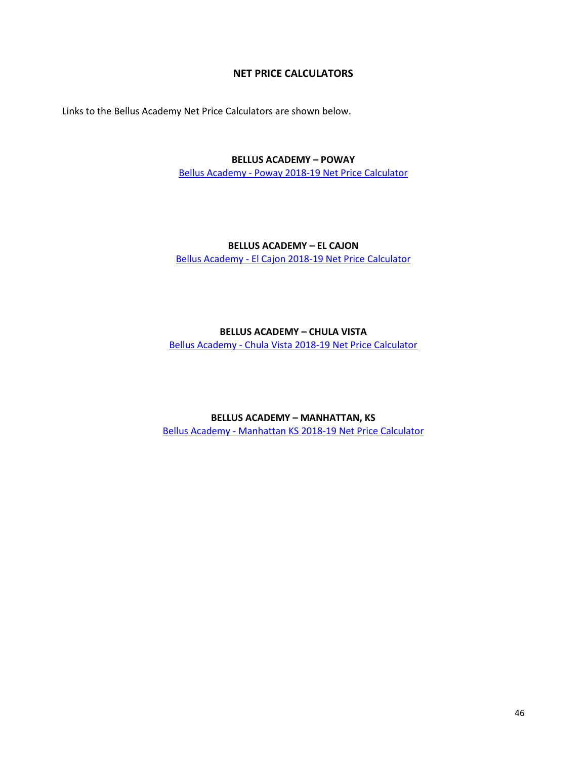# **NET PRICE CALCULATORS**

<span id="page-45-1"></span><span id="page-45-0"></span>Links to the Bellus Academy Net Price Calculators are shown below.

#### **BELLUS ACADEMY – POWAY**

[Bellus Academy - Poway 2018-19 Net Price Calculator](https://www.bellusacademy.edu/wp-content/uploads/2021/03/Poway-Net-Price-Template.html)

# **BELLUS ACADEMY – EL CAJON**

<span id="page-45-2"></span>[Bellus Academy - El Cajon 2018-19 Net Price Calculator](https://www.bellusacademy.edu/wp-content/uploads/2021/03/EC-Net-Price-Template.html)

## **BELLUS ACADEMY – CHULA VISTA**

<span id="page-45-3"></span>[Bellus Academy - Chula Vista 2018-19 Net Price Calculator](https://www.bellusacademy.edu/wp-content/uploads/2021/03/CV-Net-Price-Template.html)

## **BELLUS ACADEMY – MANHATTAN, KS**

<span id="page-45-4"></span>[Bellus Academy - Manhattan KS 2018-19 Net Price Calculator](https://www.bellusacademy.edu/wp-content/uploads/2021/03/Kansas-Net-Price-Template.html)